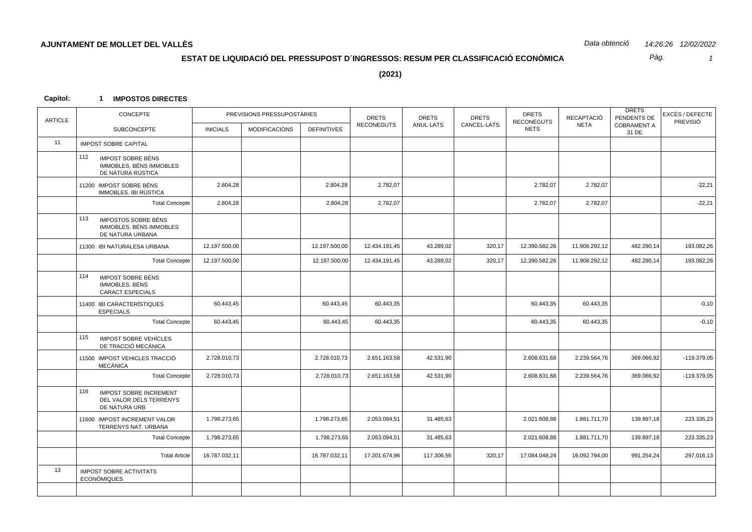*Pàg.*

*1*

**(2021)**

### **Capítol: 1 IMPOSTOS DIRECTES**

| CONCEPTE                                                                         |                 |                      |                    | <b>DRETS</b>               | <b>DRETS</b>      | <b>DRETS</b> | <b>DRETS</b>  | RECAPTACIÓ        | <b>DRETS</b><br>PENDENTS DE | EXCÉS / DEFECTE<br>PREVISIÓ |
|----------------------------------------------------------------------------------|-----------------|----------------------|--------------------|----------------------------|-------------------|--------------|---------------|-------------------|-----------------------------|-----------------------------|
| SUBCONCEPTE                                                                      | <b>INICIALS</b> | <b>MODIFICACIONS</b> | <b>DEFINITIVES</b> |                            |                   |              | <b>NETS</b>   |                   | 31 DE                       |                             |
| <b>IMPOST SOBRE CAPITAL</b>                                                      |                 |                      |                    |                            |                   |              |               |                   |                             |                             |
| 112<br><b>IMPOST SOBRE BÉNS</b><br>IMMOBLES. BÉNS IMMOBLES<br>DE NATURA RÚSTICA  |                 |                      |                    |                            |                   |              |               |                   |                             |                             |
| 11200 IMPOST SOBRE BÉNS<br>IMMOBLES. IBI RÚSTICA                                 | 2.804,28        |                      | 2.804,28           | 2.782,07                   |                   |              | 2.782,07      | 2.782,07          |                             | $-22,21$                    |
| <b>Total Concepte</b>                                                            | 2.804,28        |                      | 2.804,28           | 2.782,07                   |                   |              | 2.782,07      | 2.782,07          |                             | $-22,21$                    |
| 113<br><b>IMPOSTOS SOBRE BÉNS</b><br>IMMOBLES, BÉNS IMMOBLES<br>DE NATURA URBANA |                 |                      |                    |                            |                   |              |               |                   |                             |                             |
| 11300 IBI NATURALESA URBANA                                                      | 12.197.500,00   |                      | 12.197.500,00      | 12.434.191,45              | 43.289,02         | 320,17       | 12.390.582,26 | 11.908.292,12     | 482.290,14                  | 193.082,26                  |
| <b>Total Concepte</b>                                                            | 12.197.500,00   |                      | 12.197.500,00      | 12.434.191,45              | 43.289,02         | 320,17       | 12.390.582,26 | 11.908.292,12     | 482.290,14                  | 193.082,26                  |
| 114<br><b>IMPOST SOBRE BÉNS</b><br>IMMOBLES. BÉNS<br>CARACT.ESPECIALS            |                 |                      |                    |                            |                   |              |               |                   |                             |                             |
| 11400 IBI CARACTERÍSTIQUES<br><b>ESPECIALS</b>                                   | 60.443,45       |                      | 60.443,45          | 60.443,35                  |                   |              | 60.443,35     | 60.443,35         |                             | $-0,10$                     |
| <b>Total Concepte</b>                                                            | 60.443,45       |                      | 60.443,45          | 60.443,35                  |                   |              | 60.443,35     | 60.443,35         |                             | $-0,10$                     |
| 115<br>IMPOST SOBRE VEHÍCLES<br>DE TRACCIÓ MECÀNICA                              |                 |                      |                    |                            |                   |              |               |                   |                             |                             |
| 11500 IMPOST VEHICLES TRACCIÓ<br><b>MECÀNICA</b>                                 | 2.728.010,73    |                      | 2.728.010,73       | 2.651.163,58               | 42.531,90         |              | 2.608.631,68  | 2.239.564,76      | 369.066,92                  | $-119.379,05$               |
| <b>Total Concepte</b>                                                            | 2.728.010,73    |                      | 2.728.010,73       | 2.651.163,58               | 42.531,90         |              | 2.608.631,68  | 2.239.564,76      | 369.066,92                  | $-119.379.05$               |
| 116<br><b>IMPOST SOBRE INCREMENT</b><br>DEL VALOR DELS TERRENYS<br>DE NATURA URB |                 |                      |                    |                            |                   |              |               |                   |                             |                             |
| 11600 IMPOST INCREMENT VALOR<br>TERRENYS NAT. URBANA                             | 1.798.273,65    |                      | 1.798.273,65       | 2.053.094,51               | 31.485,63         |              | 2.021.608,88  | 1.881.711,70      | 139.897,18                  | 223.335,23                  |
| <b>Total Concepte</b>                                                            | 1.798.273,65    |                      | 1.798.273,65       | 2.053.094,51               | 31.485,63         |              | 2.021.608,88  | 1.881.711,70      | 139.897,18                  | 223.335,23                  |
| <b>Total Article</b>                                                             | 16.787.032,11   |                      | 16.787.032,11      | 17.201.674,96              | 117.306,55        | 320,17       | 17.084.048,24 | 16.092.794,00     | 991.254,24                  | 297.016,13                  |
| <b>IMPOST SOBRE ACTIVITATS</b><br><b>ECONOMIQUES</b>                             |                 |                      |                    |                            |                   |              |               |                   |                             |                             |
|                                                                                  |                 |                      |                    |                            |                   |              |               |                   |                             |                             |
|                                                                                  |                 |                      |                    | PREVISIONS PRESSUPOSTÀRIES | <b>RECONEGUTS</b> | ANUL-LATS    | CANCEL-LATS   | <b>RECONEGUTS</b> | <b>NETA</b>                 | <b>COBRAMENT A</b>          |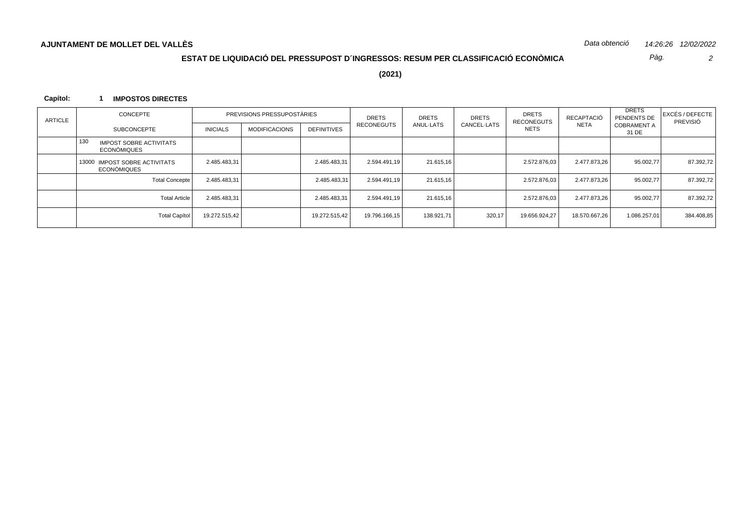*Pàg.*

*2*

**(2021)**

### **Capítol: 1 IMPOSTOS DIRECTES**

| ARTICLE | CONCEPTE                                                    |                 | PREVISIONS PRESSUPOSTÀRIES |                    | <b>DRETS</b>  | <b>DRETS</b> | <b>DRETS</b> | <b>DRETS</b><br>RECONEGUTS | RECAPTACIÓ    | <b>DRETS</b><br>PENDENTS DE | EXCÉS / DEFECTE<br>PREVISIÓ |
|---------|-------------------------------------------------------------|-----------------|----------------------------|--------------------|---------------|--------------|--------------|----------------------------|---------------|-----------------------------|-----------------------------|
|         | <b>SUBCONCEPTE</b>                                          | <b>INICIALS</b> | <b>MODIFICACIONS</b>       | <b>DEFINITIVES</b> | RECONEGUTS    | ANUL-LATS    | CANCEL-LATS  | <b>NETS</b>                | <b>NETA</b>   | <b>COBRAMENT A</b><br>31 DE |                             |
|         | 13C<br><b>IMPOST SOBRE ACTIVITATS</b><br><b>ECONÒMIQUES</b> |                 |                            |                    |               |              |              |                            |               |                             |                             |
|         | 13000 IMPOST SOBRE ACTIVITATS<br>ECONÒMIQUES                | 2.485.483,31    |                            | 2.485.483,31       | 2.594.491,19  | 21.615,16    |              | 2.572.876.03               | 2.477.873,26  | 95.002,77                   | 87.392,72                   |
|         | <b>Total Concepte</b>                                       | 2.485.483,31    |                            | 2.485.483,31       | 2.594.491,19  | 21.615,16    |              | 2.572.876.03               | 2.477.873.26  | 95.002,77                   | 87.392,72                   |
|         | <b>Total Article</b>                                        | 2.485.483,31    |                            | 2.485.483,31       | 2.594.491,19  | 21.615,16    |              | 2.572.876.03               | 2.477.873,26  | 95.002,77                   | 87.392,72                   |
|         | Total Capítol                                               | 19.272.515.42   |                            | 19.272.515.42      | 19.796.166.15 | 138.921.71   | 320,17       | 19.656.924,27              | 18.570.667,26 | 1.086.257.01                | 384.408,85                  |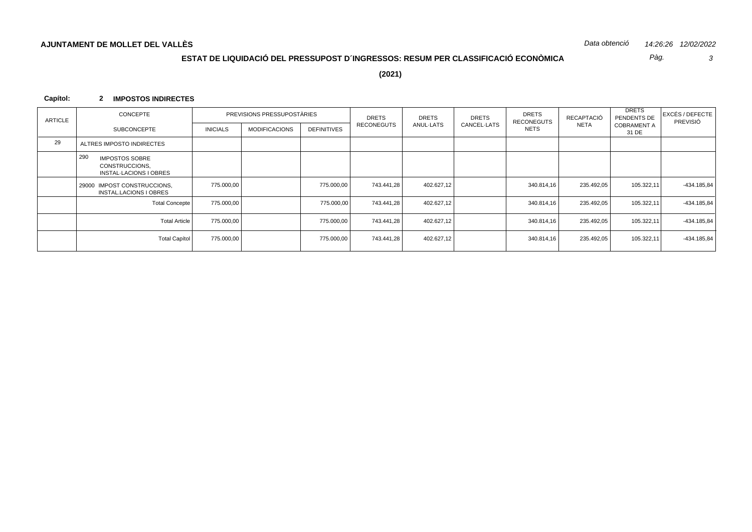Pàg.  $\mathbf{3}$ 

 $(2021)$ 

#### Capítol: 2 IMPOSTOS INDIRECTES

| ARTICLE | CONCEPTE                                                                 |                 | PREVISIONS PRESSUPOSTARIES |                    | <b>DRETS</b>      | <b>DRETS</b> | <b>DRETS</b><br>CANCEL-LATS | <b>DRETS</b><br><b>RECONEGUTS</b> | RECAPTACIÓ  | <b>DRETS</b><br>PENDENTS DE | EXCÉS / DEFECTE<br>PREVISIÓ |
|---------|--------------------------------------------------------------------------|-----------------|----------------------------|--------------------|-------------------|--------------|-----------------------------|-----------------------------------|-------------|-----------------------------|-----------------------------|
|         | <b>SUBCONCEPTE</b>                                                       | <b>INICIALS</b> | <b>MODIFICACIONS</b>       | <b>DEFINITIVES</b> | <b>RECONEGUTS</b> | ANUL-LATS    |                             | <b>NETS</b>                       | <b>NETA</b> | <b>COBRAMENT A</b><br>31 DE |                             |
| 29      | ALTRES IMPOSTO INDIRECTES                                                |                 |                            |                    |                   |              |                             |                                   |             |                             |                             |
|         | 290<br><b>IMPOSTOS SOBRE</b><br>CONSTRUCCIONS,<br>INSTAL-LACIONS I OBRES |                 |                            |                    |                   |              |                             |                                   |             |                             |                             |
|         | <b>IMPOST CONSTRUCCIONS.</b><br>29000<br>INSTAL.LACIONS I OBRES          | 775.000,00      |                            | 775.000,00         | 743.441.28        | 402.627,12   |                             | 340.814,16                        | 235.492,05  | 105.322,11                  | -434.185,84                 |
|         | <b>Total Concepte</b>                                                    | 775.000,00      |                            | 775.000,00         | 743.441,28        | 402.627,12   |                             | 340.814,16                        | 235.492,05  | 105.322,11                  | -434.185,84                 |
|         | Total Article                                                            | 775.000,00      |                            | 775.000,00         | 743.441,28        | 402.627,12   |                             | 340.814,16                        | 235.492,05  | 105.322,11                  | -434.185,84                 |
|         | Total Capítol                                                            | 775.000,00      |                            | 775.000,00         | 743.441,28        | 402.627,12   |                             | 340.814,16                        | 235.492,05  | 105.322,11                  | -434.185,84                 |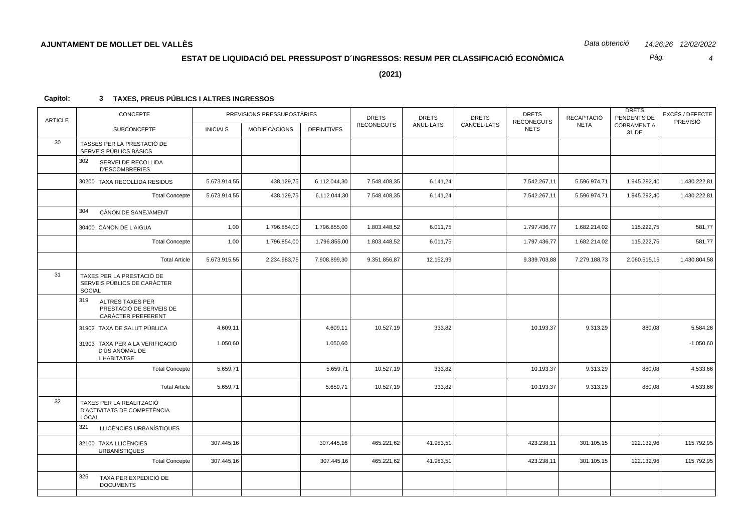*Pàg.*

*4*

**(2021)**

| <b>ARTICLE</b> | CONCEPTE                                                                  |                 | PREVISIONS PRESSUPOSTÀRIES |                    | <b>DRETS</b>      | <b>DRETS</b> | <b>DRETS</b> | <b>DRETS</b><br><b>RECONEGUTS</b> | RECAPTACIÓ   | <b>DRETS</b><br>PENDENTS DE | EXCÉS / DEFECTE<br>PREVISIÓ |
|----------------|---------------------------------------------------------------------------|-----------------|----------------------------|--------------------|-------------------|--------------|--------------|-----------------------------------|--------------|-----------------------------|-----------------------------|
|                | <b>SUBCONCEPTE</b>                                                        | <b>INICIALS</b> | <b>MODIFICACIONS</b>       | <b>DEFINITIVES</b> | <b>RECONEGUTS</b> | ANUL-LATS    | CANCEL-LATS  | <b>NETS</b>                       | <b>NETA</b>  | <b>COBRAMENT A</b><br>31 DE |                             |
| 30             | TASSES PER LA PRESTACIÓ DE<br>SERVEIS PÚBLICS BÀSICS                      |                 |                            |                    |                   |              |              |                                   |              |                             |                             |
|                | 302<br>SERVEI DE RECOLLIDA<br><b>D'ESCOMBRERIES</b>                       |                 |                            |                    |                   |              |              |                                   |              |                             |                             |
|                | 30200 TAXA RECOLLIDA RESIDUS                                              | 5.673.914,55    | 438.129,75                 | 6.112.044,30       | 7.548.408,35      | 6.141,24     |              | 7.542.267,11                      | 5.596.974,71 | 1.945.292,40                | 1.430.222,81                |
|                | <b>Total Concepte</b>                                                     | 5.673.914,55    | 438.129,75                 | 6.112.044,30       | 7.548.408,35      | 6.141,24     |              | 7.542.267,11                      | 5.596.974,71 | 1.945.292,40                | 1.430.222,81                |
|                | 304<br>CÀNON DE SANEJAMENT                                                |                 |                            |                    |                   |              |              |                                   |              |                             |                             |
|                | 30400 CÀNON DE L'AIGUA                                                    | 1,00            | 1.796.854,00               | 1.796.855,00       | 1.803.448,52      | 6.011,75     |              | 1.797.436,77                      | 1.682.214,02 | 115.222,75                  | 581,77                      |
|                | <b>Total Concepte</b>                                                     | 1,00            | 1.796.854,00               | 1.796.855,00       | 1.803.448,52      | 6.011,75     |              | 1.797.436,77                      | 1.682.214,02 | 115.222,75                  | 581,77                      |
|                | <b>Total Article</b>                                                      | 5.673.915,55    | 2.234.983,75               | 7.908.899,30       | 9.351.856,87      | 12.152,99    |              | 9.339.703,88                      | 7.279.188,73 | 2.060.515,15                | 1.430.804,58                |
| 31             | TAXES PER LA PRESTACIÓ DE<br>SERVEIS PÚBLICS DE CARÀCTER<br><b>SOCIAL</b> |                 |                            |                    |                   |              |              |                                   |              |                             |                             |
|                | 319<br>ALTRES TAXES PER<br>PRESTACIÓ DE SERVEIS DE<br>CARACTER PREFERENT  |                 |                            |                    |                   |              |              |                                   |              |                             |                             |
|                | 31902 TAXA DE SALUT PÚBLICA                                               | 4.609,11        |                            | 4.609,11           | 10.527,19         | 333,82       |              | 10.193,37                         | 9.313,29     | 880,08                      | 5.584,26                    |
|                | 31903 TAXA PER A LA VERIFICACIÓ<br>D'ÚS ANÒMAL DE<br><b>L'HABITATGE</b>   | 1.050,60        |                            | 1.050,60           |                   |              |              |                                   |              |                             | $-1.050,60$                 |
|                | <b>Total Concepte</b>                                                     | 5.659,71        |                            | 5.659,71           | 10.527,19         | 333,82       |              | 10.193,37                         | 9.313,29     | 880,08                      | 4.533,66                    |
|                | <b>Total Article</b>                                                      | 5.659,71        |                            | 5.659,71           | 10.527,19         | 333,82       |              | 10.193,37                         | 9.313,29     | 880,08                      | 4.533,66                    |
| 32             | TAXES PER LA REALITZACIÓ<br>D'ACTIVITATS DE COMPETÈNCIA<br><b>LOCAL</b>   |                 |                            |                    |                   |              |              |                                   |              |                             |                             |
|                | 321<br>LLICÈNCIES URBANÍSTIQUES                                           |                 |                            |                    |                   |              |              |                                   |              |                             |                             |
|                | 32100 TAXA LLICÈNCIES<br><b>URBANÍSTIQUES</b>                             | 307.445,16      |                            | 307.445,16         | 465.221,62        | 41.983,51    |              | 423.238,11                        | 301.105,15   | 122.132,96                  | 115.792,95                  |
|                | <b>Total Concepte</b>                                                     | 307.445,16      |                            | 307.445,16         | 465.221,62        | 41.983,51    |              | 423.238,11                        | 301.105,15   | 122.132,96                  | 115.792,95                  |
|                | 325<br>TAXA PER EXPEDICIÓ DE<br><b>DOCUMENTS</b>                          |                 |                            |                    |                   |              |              |                                   |              |                             |                             |
|                |                                                                           |                 |                            |                    |                   |              |              |                                   |              |                             |                             |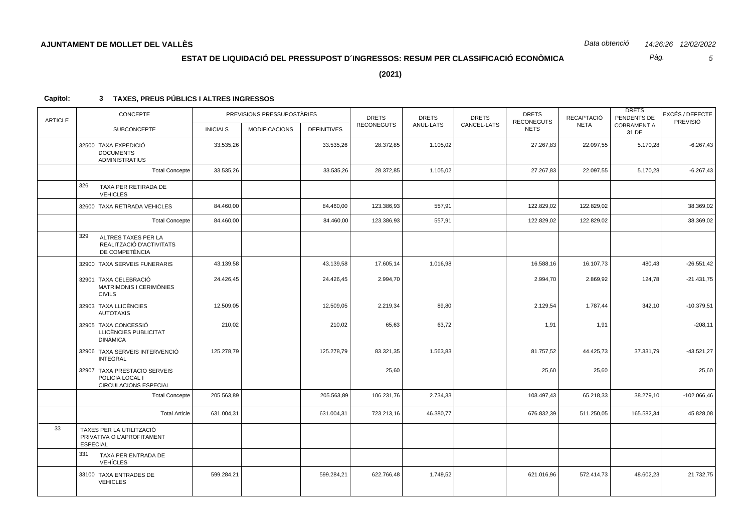Pàg.  $\overline{5}$ 

 $(2021)$ 

| <b>ARTICLE</b> | CONCEPTE<br>PREVISIONS PRESSUPOSTÀRIES                                    |                 |                      | <b>DRETS</b><br><b>RECONEGUTS</b> | <b>DRETS</b><br>ANUL-LATS | <b>DRETS</b><br>CANCEL-LATS | <b>DRETS</b><br><b>RECONEGUTS</b> | RECAPTACIÓ<br><b>NETA</b> | <b>DRETS</b><br>PENDENTS DE<br><b>COBRAMENT A</b> | EXCÉS / DEFECTE<br>PREVISIÓ |               |
|----------------|---------------------------------------------------------------------------|-----------------|----------------------|-----------------------------------|---------------------------|-----------------------------|-----------------------------------|---------------------------|---------------------------------------------------|-----------------------------|---------------|
|                | <b>SUBCONCEPTE</b>                                                        | <b>INICIALS</b> | <b>MODIFICACIONS</b> | <b>DEFINITIVES</b>                |                           |                             |                                   | <b>NETS</b>               |                                                   | 31 DE                       |               |
|                | 32500 TAXA EXPEDICIÓ<br><b>DOCUMENTS</b><br><b>ADMINISTRATIUS</b>         | 33.535,26       |                      | 33.535,26                         | 28.372,85                 | 1.105,02                    |                                   | 27.267,83                 | 22.097,55                                         | 5.170,28                    | $-6.267,43$   |
|                | <b>Total Concepte</b>                                                     | 33.535,26       |                      | 33.535,26                         | 28.372,85                 | 1.105,02                    |                                   | 27.267,83                 | 22.097,55                                         | 5.170,28                    | $-6.267,43$   |
|                | 326<br>TAXA PER RETIRADA DE<br><b>VEHICLES</b>                            |                 |                      |                                   |                           |                             |                                   |                           |                                                   |                             |               |
|                | 32600 TAXA RETIRADA VEHICLES                                              | 84.460,00       |                      | 84.460,00                         | 123.386,93                | 557,91                      |                                   | 122.829,02                | 122.829,02                                        |                             | 38.369,02     |
|                | <b>Total Concepte</b>                                                     | 84.460,00       |                      | 84.460,00                         | 123.386,93                | 557,91                      |                                   | 122.829,02                | 122.829,02                                        |                             | 38.369,02     |
|                | 329<br>ALTRES TAXES PER LA<br>REALITZACIÓ D'ACTIVITATS<br>DE COMPETÈNCIA  |                 |                      |                                   |                           |                             |                                   |                           |                                                   |                             |               |
|                | 32900 TAXA SERVEIS FUNERARIS                                              | 43.139.58       |                      | 43.139,58                         | 17.605,14                 | 1.016,98                    |                                   | 16.588,16                 | 16.107,73                                         | 480,43                      | $-26.551,42$  |
|                | 32901 TAXA CELEBRACIÓ<br>MATRIMONIS I CERIMÒNIES<br><b>CIVILS</b>         | 24.426,45       |                      | 24.426,45                         | 2.994,70                  |                             |                                   | 2.994,70                  | 2.869,92                                          | 124,78                      | $-21.431,75$  |
|                | 32903 TAXA LLICÈNCIES<br><b>AUTOTAXIS</b>                                 | 12.509,05       |                      | 12.509,05                         | 2.219,34                  | 89,80                       |                                   | 2.129,54                  | 1.787,44                                          | 342,10                      | $-10.379,51$  |
|                | 32905 TAXA CONCESSIÓ<br>LLICÈNCIES PUBLICITAT<br><b>DINÀMICA</b>          | 210,02          |                      | 210,02                            | 65,63                     | 63,72                       |                                   | 1,91                      | 1,91                                              |                             | $-208,11$     |
|                | 32906 TAXA SERVEIS INTERVENCIÓ<br><b>INTEGRAL</b>                         | 125.278,79      |                      | 125.278,79                        | 83.321,35                 | 1.563,83                    |                                   | 81.757,52                 | 44.425,73                                         | 37.331,79                   | $-43.521,27$  |
|                | 32907 TAXA PRESTACIO SERVEIS<br>POLICIA LOCAL I<br>CIRCULACIONS ESPECIAL  |                 |                      |                                   | 25,60                     |                             |                                   | 25,60                     | 25,60                                             |                             | 25,60         |
|                | <b>Total Concepte</b>                                                     | 205.563,89      |                      | 205.563,89                        | 106.231,76                | 2.734,33                    |                                   | 103.497,43                | 65.218,33                                         | 38.279,10                   | $-102.066,46$ |
|                | <b>Total Article</b>                                                      | 631.004,31      |                      | 631.004,31                        | 723.213,16                | 46.380,77                   |                                   | 676.832,39                | 511.250,05                                        | 165.582,34                  | 45.828,08     |
| 33             | TAXES PER LA UTILITZACIÓ<br>PRIVATIVA O L'APROFITAMENT<br><b>ESPECIAL</b> |                 |                      |                                   |                           |                             |                                   |                           |                                                   |                             |               |
|                | 331<br>TAXA PER ENTRADA DE<br><b>VEHÍCLES</b>                             |                 |                      |                                   |                           |                             |                                   |                           |                                                   |                             |               |
|                | 33100 TAXA ENTRADES DE<br><b>VEHICLES</b>                                 | 599.284,21      |                      | 599.284,21                        | 622.766.48                | 1.749,52                    |                                   | 621.016,96                | 572.414,73                                        | 48.602,23                   | 21.732,75     |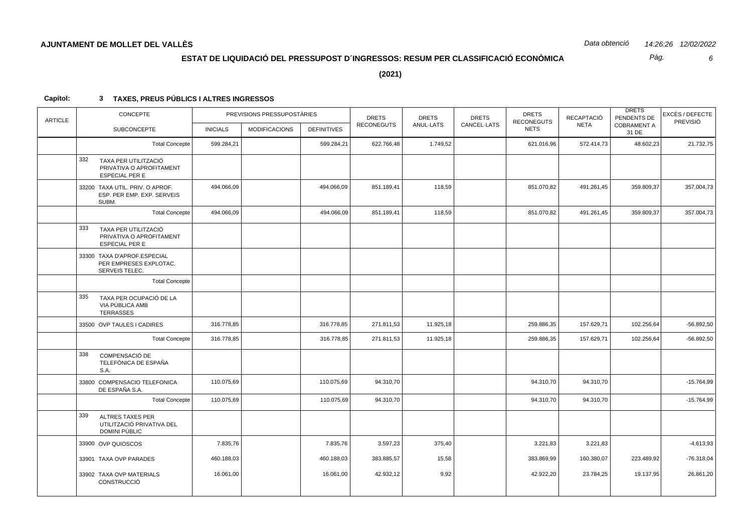Pàg.  $6\overline{6}$ 

 $(2021)$ 

| <b>ARTICLE</b> | CONCEPTE                                                                         | PREVISIONS PRESSUPOSTÀRIES<br><b>SUBCONCEPTE</b><br><b>INICIALS</b><br><b>MODIFICACIONS</b> |  |                    | <b>DRETS</b>      | <b>DRETS</b> | <b>DRETS</b> | <b>DRETS</b><br><b>RECONEGUTS</b> | RECAPTACIÓ  | <b>DRETS</b><br>PENDENTS DE | EXCÉS / DEFECTE<br>PREVISIÓ |
|----------------|----------------------------------------------------------------------------------|---------------------------------------------------------------------------------------------|--|--------------------|-------------------|--------------|--------------|-----------------------------------|-------------|-----------------------------|-----------------------------|
|                |                                                                                  |                                                                                             |  | <b>DEFINITIVES</b> | <b>RECONEGUTS</b> | ANUL-LATS    | CANCEL-LATS  | <b>NETS</b>                       | <b>NETA</b> | <b>COBRAMENT A</b><br>31 DE |                             |
|                | <b>Total Concepte</b>                                                            | 599.284,21                                                                                  |  | 599.284,21         | 622.766,48        | 1.749,52     |              | 621.016,96                        | 572.414,73  | 48.602,23                   | 21.732,75                   |
|                | 332<br>TAXA PER UTILITZACIÓ<br>PRIVATIVA O APROFITAMENT<br><b>ESPECIAL PER E</b> |                                                                                             |  |                    |                   |              |              |                                   |             |                             |                             |
|                | 33200 TAXA UTIL. PRIV. O APROF.<br>ESP. PER EMP. EXP. SERVEIS<br>SUBM.           | 494.066,09                                                                                  |  | 494.066,09         | 851.189,41        | 118,59       |              | 851.070,82                        | 491.261,45  | 359.809,37                  | 357.004,73                  |
|                | <b>Total Concepte</b>                                                            | 494.066,09                                                                                  |  | 494.066,09         | 851.189,41        | 118,59       |              | 851.070,82                        | 491.261,45  | 359.809,37                  | 357.004,73                  |
|                | 333<br>TAXA PER UTILITZACIÓ<br>PRIVATIVA O APROFITAMENT<br><b>ESPECIAL PER E</b> |                                                                                             |  |                    |                   |              |              |                                   |             |                             |                             |
|                | 33300 TAXA D'APROF.ESPECIAL<br>PER EMPRESES EXPLOTAC.<br>SERVEIS TELEC.          |                                                                                             |  |                    |                   |              |              |                                   |             |                             |                             |
|                | <b>Total Concepte</b>                                                            |                                                                                             |  |                    |                   |              |              |                                   |             |                             |                             |
|                | 335<br>TAXA PER OCUPACIÓ DE LA<br>VIA PÚBLICA AMB<br><b>TERRASSES</b>            |                                                                                             |  |                    |                   |              |              |                                   |             |                             |                             |
|                | 33500 OVP TAULES I CADIRES                                                       | 316.778,85                                                                                  |  | 316.778,85         | 271.811,53        | 11.925,18    |              | 259.886,35                        | 157.629,71  | 102.256,64                  | $-56.892,50$                |
|                | <b>Total Concepte</b>                                                            | 316.778,85                                                                                  |  | 316.778,85         | 271.811,53        | 11.925,18    |              | 259.886,35                        | 157.629,71  | 102.256,64                  | $-56.892,50$                |
|                | 338<br>COMPENSACIÓ DE<br>TELEFÓNICA DE ESPAÑA<br>S.A.                            |                                                                                             |  |                    |                   |              |              |                                   |             |                             |                             |
|                | 33800 COMPENSACIO TELEFONICA<br>DE ESPAÑA S.A.                                   | 110.075,69                                                                                  |  | 110.075,69         | 94.310,70         |              |              | 94.310,70                         | 94.310,70   |                             | $-15.764,99$                |
|                | <b>Total Concepte</b>                                                            | 110.075,69                                                                                  |  | 110.075,69         | 94.310,70         |              |              | 94.310,70                         | 94.310,70   |                             | $-15.764,99$                |
|                | 339<br><b>ALTRES TAXES PER</b><br>UTILITZACIÓ PRIVATIVA DEL<br>DOMINI PÚBLIC     |                                                                                             |  |                    |                   |              |              |                                   |             |                             |                             |
|                | 33900 OVP QUIOSCOS                                                               | 7.835,76                                                                                    |  | 7.835,76           | 3.597,23          | 375,40       |              | 3.221,83                          | 3.221,83    |                             | $-4.613,93$                 |
|                | 33901 TAXA OVP PARADES                                                           | 460.188,03                                                                                  |  | 460.188,03         | 383.885,57        | 15,58        |              | 383.869,99                        | 160.380,07  | 223.489,92                  | $-76.318.04$                |
|                | 33902 TAXA OVP MATERIALS<br>CONSTRUCCIÓ                                          | 16.061,00                                                                                   |  | 16.061,00          | 42.932,12         | 9,92         |              | 42.922,20                         | 23.784,25   | 19.137,95                   | 26.861,20                   |
|                |                                                                                  |                                                                                             |  |                    |                   |              |              |                                   |             |                             |                             |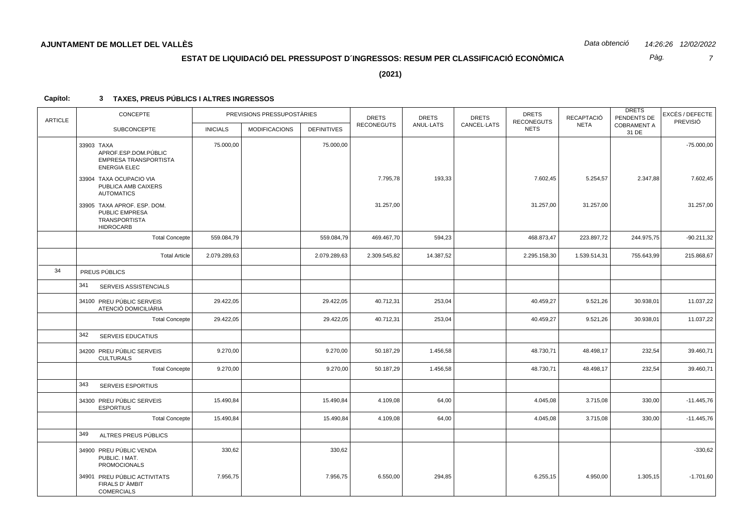Pàg.  $\overline{7}$ 

 $(2021)$ 

| <b>ARTICLE</b> | CONCEPTE                                                                                  |                 | PREVISIONS PRESSUPOSTÀRIES |                    | <b>DRETS</b>      | <b>DRETS</b> | <b>DRETS</b> | <b>DRETS</b><br><b>RECONEGUTS</b> | RECAPTACIÓ   | <b>DRETS</b><br>PENDENTS DE | EXCÉS / DEFECTE<br>PREVISIÓ |
|----------------|-------------------------------------------------------------------------------------------|-----------------|----------------------------|--------------------|-------------------|--------------|--------------|-----------------------------------|--------------|-----------------------------|-----------------------------|
|                | <b>SUBCONCEPTE</b>                                                                        | <b>INICIALS</b> | <b>MODIFICACIONS</b>       | <b>DEFINITIVES</b> | <b>RECONEGUTS</b> | ANUL-LATS    | CANCEL-LATS  | <b>NETS</b>                       | <b>NETA</b>  | <b>COBRAMENT A</b><br>31 DE |                             |
|                | 33903 TAXA<br>APROF.ESP.DOM.PÚBLIC<br>EMPRESA TRANSPORTISTA<br><b>ENERGIA ELEC</b>        | 75.000,00       |                            | 75.000,00          |                   |              |              |                                   |              |                             | $-75.000,00$                |
|                | 33904 TAXA OCUPACIO VIA<br>PUBLICA AMB CAIXERS<br><b>AUTOMATICS</b>                       |                 |                            |                    | 7.795,78          | 193,33       |              | 7.602,45                          | 5.254,57     | 2.347,88                    | 7.602,45                    |
|                | 33905 TAXA APROF. ESP. DOM.<br>PUBLIC EMPRESA<br><b>TRANSPORTISTA</b><br><b>HIDROCARB</b> |                 |                            |                    | 31.257,00         |              |              | 31.257,00                         | 31.257,00    |                             | 31.257,00                   |
|                | <b>Total Concepte</b>                                                                     | 559.084,79      |                            | 559.084,79         | 469.467,70        | 594,23       |              | 468.873,47                        | 223.897,72   | 244.975,75                  | $-90.211,32$                |
|                | <b>Total Article</b>                                                                      | 2.079.289,63    |                            | 2.079.289,63       | 2.309.545,82      | 14.387,52    |              | 2.295.158,30                      | 1.539.514,31 | 755.643,99                  | 215.868,67                  |
| 34             | PREUS PÚBLICS                                                                             |                 |                            |                    |                   |              |              |                                   |              |                             |                             |
|                | 341<br>SERVEIS ASSISTENCIALS                                                              |                 |                            |                    |                   |              |              |                                   |              |                             |                             |
|                | 34100 PREU PÚBLIC SERVEIS<br>ATENCIÓ DOMICILIÀRIA                                         | 29.422,05       |                            | 29.422,05          | 40.712,31         | 253,04       |              | 40.459,27                         | 9.521,26     | 30.938,01                   | 11.037,22                   |
|                | <b>Total Concepte</b>                                                                     | 29.422,05       |                            | 29.422,05          | 40.712,31         | 253,04       |              | 40.459,27                         | 9.521,26     | 30.938,01                   | 11.037,22                   |
|                | 342<br><b>SERVEIS EDUCATIUS</b>                                                           |                 |                            |                    |                   |              |              |                                   |              |                             |                             |
|                | 34200 PREU PÚBLIC SERVEIS<br><b>CULTURALS</b>                                             | 9.270,00        |                            | 9.270,00           | 50.187,29         | 1.456,58     |              | 48.730,71                         | 48.498,17    | 232,54                      | 39.460,71                   |
|                | <b>Total Concepte</b>                                                                     | 9.270,00        |                            | 9.270,00           | 50.187,29         | 1.456,58     |              | 48.730,71                         | 48.498,17    | 232,54                      | 39.460,71                   |
|                | 343<br><b>SERVEIS ESPORTIUS</b>                                                           |                 |                            |                    |                   |              |              |                                   |              |                             |                             |
|                | 34300 PREU PÚBLIC SERVEIS<br><b>ESPORTIUS</b>                                             | 15.490,84       |                            | 15.490,84          | 4.109,08          | 64,00        |              | 4.045,08                          | 3.715,08     | 330,00                      | $-11.445,76$                |
|                | <b>Total Concepte</b>                                                                     | 15.490,84       |                            | 15.490,84          | 4.109,08          | 64,00        |              | 4.045,08                          | 3.715,08     | 330,00                      | $-11.445,76$                |
|                | 349<br>ALTRES PREUS PÚBLICS                                                               |                 |                            |                    |                   |              |              |                                   |              |                             |                             |
|                | 34900 PREU PÚBLIC VENDA<br>PUBLIC. I MAT.<br><b>PROMOCIONALS</b>                          | 330,62          |                            | 330,62             |                   |              |              |                                   |              |                             | $-330,62$                   |
|                | 34901 PREU PÚBLIC ACTIVITATS<br>FIRALS D' ÀMBIT<br><b>COMERCIALS</b>                      | 7.956,75        |                            | 7.956,75           | 6.550,00          | 294,85       |              | 6.255,15                          | 4.950,00     | 1.305, 15                   | $-1.701,60$                 |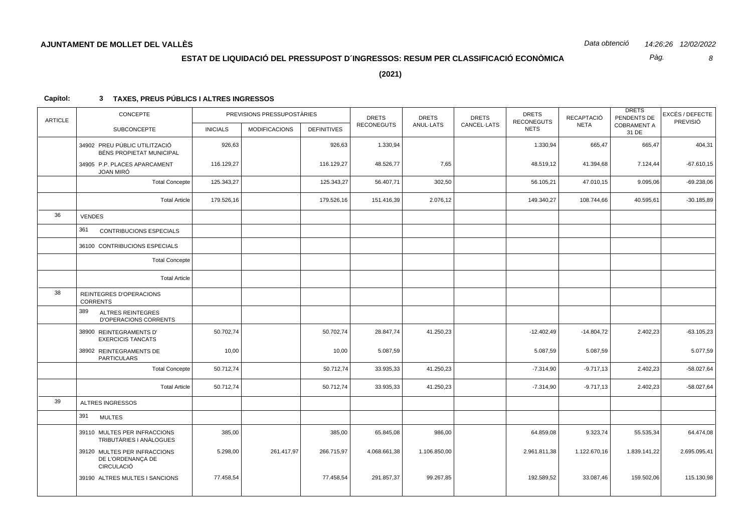Pàg.  $\mathcal{B}$ 

 $(2021)$ 

| <b>ARTICLE</b> | <b>CONCEPTE</b>                                                 | PREVISIONS PRESSUPOSTÀRIES |                      | <b>DRETS</b>       | <b>DRETS</b>      | <b>DRETS</b> | <b>DRETS</b><br><b>RECONEGUTS</b> | <b>RECAPTACIÓ</b> | <b>DRETS</b><br>PENDENTS DE | EXCÉS / DEFECTE<br>PREVISIÓ |              |
|----------------|-----------------------------------------------------------------|----------------------------|----------------------|--------------------|-------------------|--------------|-----------------------------------|-------------------|-----------------------------|-----------------------------|--------------|
|                | <b>SUBCONCEPTE</b>                                              | <b>INICIALS</b>            | <b>MODIFICACIONS</b> | <b>DEFINITIVES</b> | <b>RECONEGUTS</b> | ANUL-LATS    | CANCEL-LATS                       | <b>NETS</b>       | <b>NETA</b>                 | <b>COBRAMENT A</b><br>31 DE |              |
|                | 34902 PREU PÚBLIC UTILITZACIÓ<br>BÉNS PROPIETAT MUNICIPAL       | 926,63                     |                      | 926,63             | 1.330,94          |              |                                   | 1.330,94          | 665,47                      | 665,47                      | 404,31       |
|                | 34905 P.P. PLACES APARCAMENT<br><b>JOAN MIRÓ</b>                | 116.129,27                 |                      | 116.129,27         | 48.526,77         | 7,65         |                                   | 48.519,12         | 41.394,68                   | 7.124,44                    | $-67.610,15$ |
|                | <b>Total Concepte</b>                                           | 125.343,27                 |                      | 125.343,27         | 56.407,71         | 302,50       |                                   | 56.105,21         | 47.010,15                   | 9.095,06                    | $-69.238,06$ |
|                | <b>Total Article</b>                                            | 179.526,16                 |                      | 179.526,16         | 151.416,39        | 2.076,12     |                                   | 149.340,27        | 108.744,66                  | 40.595,61                   | $-30.185,89$ |
| 36             | <b>VENDES</b>                                                   |                            |                      |                    |                   |              |                                   |                   |                             |                             |              |
|                | 361<br><b>CONTRIBUCIONS ESPECIALS</b>                           |                            |                      |                    |                   |              |                                   |                   |                             |                             |              |
|                | 36100 CONTRIBUCIONS ESPECIALS                                   |                            |                      |                    |                   |              |                                   |                   |                             |                             |              |
|                | <b>Total Concepte</b>                                           |                            |                      |                    |                   |              |                                   |                   |                             |                             |              |
|                | <b>Total Article</b>                                            |                            |                      |                    |                   |              |                                   |                   |                             |                             |              |
| 38             | REINTEGRES D'OPERACIONS<br><b>CORRENTS</b>                      |                            |                      |                    |                   |              |                                   |                   |                             |                             |              |
|                | 389<br><b>ALTRES REINTEGRES</b><br><b>D'OPERACIONS CORRENTS</b> |                            |                      |                    |                   |              |                                   |                   |                             |                             |              |
|                | 38900 REINTEGRAMENTS D'<br><b>EXERCICIS TANCATS</b>             | 50.702,74                  |                      | 50.702,74          | 28.847,74         | 41.250,23    |                                   | $-12.402,49$      | $-14.804,72$                | 2.402,23                    | $-63.105,23$ |
|                | 38902 REINTEGRAMENTS DE<br><b>PARTICULARS</b>                   | 10,00                      |                      | 10,00              | 5.087,59          |              |                                   | 5.087,59          | 5.087,59                    |                             | 5.077,59     |
|                | <b>Total Concepte</b>                                           | 50.712,74                  |                      | 50.712,74          | 33.935,33         | 41.250,23    |                                   | $-7.314,90$       | $-9.717,13$                 | 2.402,23                    | $-58.027,64$ |
|                | <b>Total Article</b>                                            | 50.712,74                  |                      | 50.712,74          | 33.935,33         | 41.250,23    |                                   | $-7.314,90$       | $-9.717,13$                 | 2.402,23                    | $-58.027,64$ |
| 39             | <b>ALTRES INGRESSOS</b>                                         |                            |                      |                    |                   |              |                                   |                   |                             |                             |              |
|                | 391<br><b>MULTES</b>                                            |                            |                      |                    |                   |              |                                   |                   |                             |                             |              |
|                | 39110 MULTES PER INFRACCIONS<br>TRIBUTÀRIES I ANÀLOGUES         | 385,00                     |                      | 385,00             | 65.845,08         | 986,00       |                                   | 64.859,08         | 9.323,74                    | 55.535,34                   | 64.474,08    |
|                | 39120 MULTES PER INFRACCIONS<br>DE L'ORDENANCA DE<br>CIRCULACIÓ | 5.298,00                   | 261.417,97           | 266.715,97         | 4.068.661,38      | 1.106.850,00 |                                   | 2.961.811,38      | 1.122.670,16                | 1.839.141,22                | 2.695.095,41 |
|                | 39190 ALTRES MULTES I SANCIONS                                  | 77.458,54                  |                      | 77.458,54          | 291.857,37        | 99.267,85    |                                   | 192.589,52        | 33.087,46                   | 159.502,06                  | 115.130,98   |
|                |                                                                 |                            |                      |                    |                   |              |                                   |                   |                             |                             |              |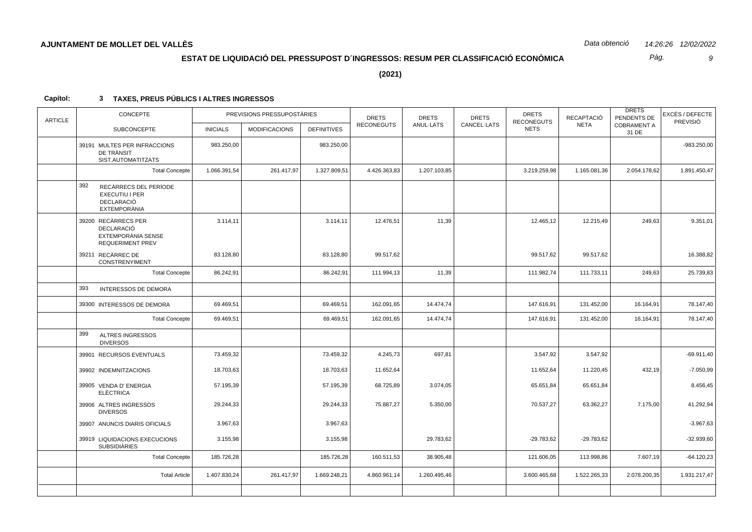Pàg.  $\mathfrak g$ 

 $(2021)$ 

| <b>ARTICLE</b> | CONCEPTE<br>PREVISIONS PRESSUPOSTÀRIES                                                    |                 |                      | <b>DRETS</b>       | <b>DRETS</b>      | <b>DRETS</b> | <b>DRETS</b><br><b>RECONEGUTS</b> | RECAPTACIÓ   | <b>DRETS</b><br>PENDENTS DE | EXCÉS / DEFECTE<br>PREVISIÓ |               |
|----------------|-------------------------------------------------------------------------------------------|-----------------|----------------------|--------------------|-------------------|--------------|-----------------------------------|--------------|-----------------------------|-----------------------------|---------------|
|                | <b>SUBCONCEPTE</b>                                                                        | <b>INICIALS</b> | <b>MODIFICACIONS</b> | <b>DEFINITIVES</b> | <b>RECONEGUTS</b> | ANUL-LATS    | CANCEL-LATS                       | <b>NETS</b>  | <b>NETA</b>                 | <b>COBRAMENT A</b><br>31 DE |               |
|                | 39191 MULTES PER INFRACCIONS<br>DE TRÀNSIT<br>SIST.AUTOMATITZATS                          | 983.250,00      |                      | 983.250,00         |                   |              |                                   |              |                             |                             | $-983.250,00$ |
|                | <b>Total Concepte</b>                                                                     | 1.066.391,54    | 261.417,97           | 1.327.809,51       | 4.426.363,83      | 1.207.103,85 |                                   | 3.219.259,98 | 1.165.081,36                | 2.054.178,62                | 1.891.450,47  |
|                | 392<br>RECÀRRECS DEL PERÍODE<br>EXECUTIU I PER<br><b>DECLARACIÓ</b><br>EXTEMPORÀNIA       |                 |                      |                    |                   |              |                                   |              |                             |                             |               |
|                | 39200 RECÀRRECS PER<br><b>DECLARACIÓ</b><br>EXTEMPORÀNIA SENSE<br><b>REQUERIMENT PREV</b> | 3.114,11        |                      | 3.114,11           | 12.476,51         | 11,39        |                                   | 12.465,12    | 12.215,49                   | 249,63                      | 9.351,01      |
|                | 39211 RECÀRREC DE<br><b>CONSTRENYIMENT</b>                                                | 83.128,80       |                      | 83.128,80          | 99.517,62         |              |                                   | 99.517,62    | 99.517,62                   |                             | 16.388,82     |
|                | <b>Total Concepte</b>                                                                     | 86.242,91       |                      | 86.242,91          | 111.994,13        | 11,39        |                                   | 111.982,74   | 111.733,11                  | 249,63                      | 25.739,83     |
|                | 393<br>INTERESSOS DE DEMORA                                                               |                 |                      |                    |                   |              |                                   |              |                             |                             |               |
|                | 39300 INTERESSOS DE DEMORA                                                                | 69.469,51       |                      | 69.469,51          | 162.091,65        | 14.474,74    |                                   | 147.616,91   | 131.452,00                  | 16.164,91                   | 78.147,40     |
|                | <b>Total Concepte</b>                                                                     | 69.469,51       |                      | 69.469,51          | 162.091,65        | 14.474,74    |                                   | 147.616,91   | 131.452,00                  | 16.164,91                   | 78.147,40     |
|                | 399<br>ALTRES INGRESSOS<br><b>DIVERSOS</b>                                                |                 |                      |                    |                   |              |                                   |              |                             |                             |               |
|                | 39901 RECURSOS EVENTUALS                                                                  | 73.459,32       |                      | 73.459,32          | 4.245,73          | 697,81       |                                   | 3.547,92     | 3.547,92                    |                             | $-69.911,40$  |
|                | 39902 INDEMNITZACIONS                                                                     | 18.703,63       |                      | 18.703,63          | 11.652,64         |              |                                   | 11.652,64    | 11.220,45                   | 432,19                      | $-7.050,99$   |
|                | 39905 VENDA D' ENERGIA<br><b>ELÈCTRICA</b>                                                | 57.195,39       |                      | 57.195,39          | 68.725,89         | 3.074,05     |                                   | 65.651,84    | 65.651,84                   |                             | 8.456,45      |
|                | 39906 ALTRES INGRESSOS<br><b>DIVERSOS</b>                                                 | 29.244,33       |                      | 29.244,33          | 75.887,27         | 5.350,00     |                                   | 70.537,27    | 63.362,27                   | 7.175,00                    | 41.292,94     |
|                | 39907 ANUNCIS DIARIS OFICIALS                                                             | 3.967,63        |                      | 3.967,63           |                   |              |                                   |              |                             |                             | $-3.967,63$   |
|                | 39919 LIQUIDACIONS EXECUCIONS<br><b>SUBSIDIÀRIES</b>                                      | 3.155,98        |                      | 3.155,98           |                   | 29.783,62    |                                   | $-29.783.62$ | $-29.783.62$                |                             | $-32.939,60$  |
|                | <b>Total Concepte</b>                                                                     | 185.726,28      |                      | 185.726,28         | 160.511,53        | 38.905,48    |                                   | 121.606,05   | 113.998,86                  | 7.607,19                    | $-64.120,23$  |
|                | <b>Total Article</b>                                                                      | 1.407.830,24    | 261.417,97           | 1.669.248,21       | 4.860.961,14      | 1.260.495,46 |                                   | 3.600.465,68 | 1.522.265,33                | 2.078.200,35                | 1.931.217,47  |
|                |                                                                                           |                 |                      |                    |                   |              |                                   |              |                             |                             |               |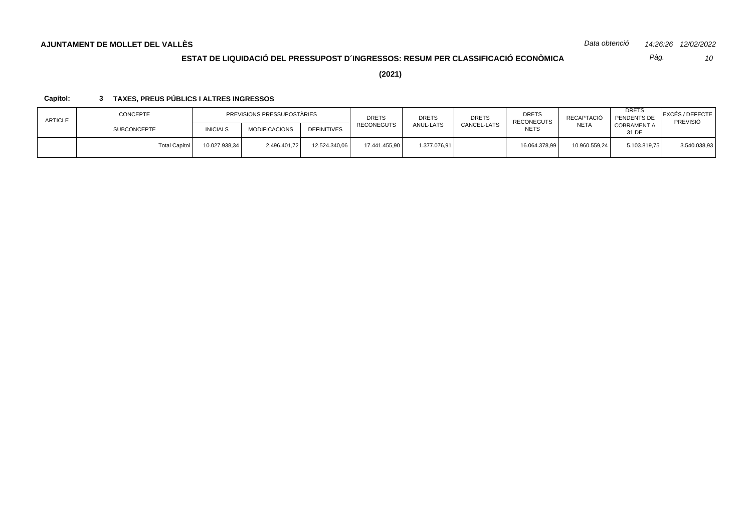*10 Pàg.*

**(2021)**

| CONCEPTE<br><b>ARTICLE</b><br><b>SUBCONCEPTE</b> |                 | PREVISIONS PRESSUPOSTÀRIES |                    |               | <b>DRETS</b> | <b>DRETS</b> | <b>DRETS</b><br><b>RECONEGUTS</b> | RECAPTACIÓ    | <b>DRETS</b><br>PENDENTS DE | EXCÉS / DEFECTE <br>PREVISIÓ |
|--------------------------------------------------|-----------------|----------------------------|--------------------|---------------|--------------|--------------|-----------------------------------|---------------|-----------------------------|------------------------------|
|                                                  | <b>INICIALS</b> | <b>MODIFICACIONS</b>       | <b>DEFINITIVES</b> | RECONEGUTS    | ANUL-LATS    | CANCEL-LATS  | <b>NETS</b>                       | <b>NETA</b>   | <b>COBRAMENT A</b><br>31 DE |                              |
| Total Capítol                                    | 10.027.938,34   | 2.496.401,72               | 12.524.340,06      | 17.441.455,90 | 1.377.076,91 |              | 16.064.378,99                     | 10.960.559,24 | 5.103.819,75                | 3.540.038,93                 |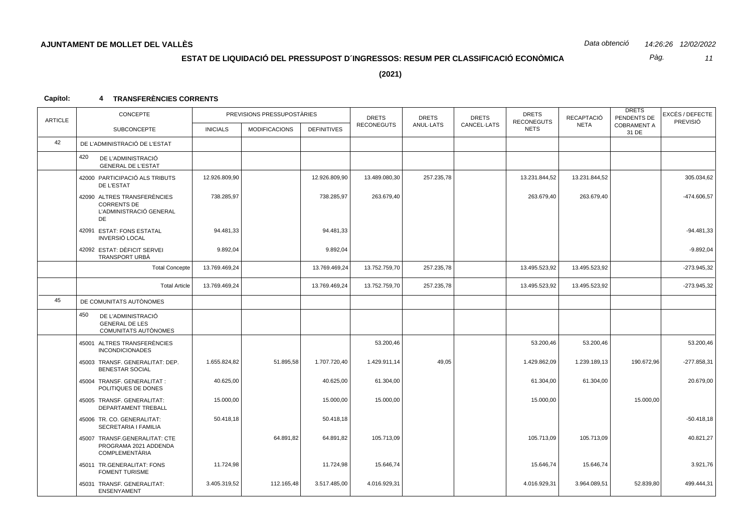*11 Pàg.*

**(2021)**

| <b>ARTICLE</b> | CONCEPTE                                                                                  |                 | PREVISIONS PRESSUPOSTÀRIES |                    | <b>DRETS</b><br><b>RECONEGUTS</b> | <b>DRETS</b> | <b>DRETS</b><br><b>DRETS</b><br><b>RECONEGUTS</b><br>CANCEL-LATS | RECAPTACIÓ    | <b>DRETS</b><br>PENDENTS DE | EXCÉS / DEFECTE<br>PREVISIÓ |               |
|----------------|-------------------------------------------------------------------------------------------|-----------------|----------------------------|--------------------|-----------------------------------|--------------|------------------------------------------------------------------|---------------|-----------------------------|-----------------------------|---------------|
|                | <b>SUBCONCEPTE</b>                                                                        | <b>INICIALS</b> | <b>MODIFICACIONS</b>       | <b>DEFINITIVES</b> |                                   | ANUL-LATS    |                                                                  | <b>NETS</b>   | <b>NETA</b>                 | <b>COBRAMENT A</b><br>31 DE |               |
| 42             | DE L'ADMINISTRACIÓ DE L'ESTAT                                                             |                 |                            |                    |                                   |              |                                                                  |               |                             |                             |               |
|                | 420<br>DE L'ADMINISTRACIÓ<br><b>GENERAL DE L'ESTAT</b>                                    |                 |                            |                    |                                   |              |                                                                  |               |                             |                             |               |
|                | 42000 PARTICIPACIÓ ALS TRIBUTS<br>DE L'ESTAT                                              | 12.926.809.90   |                            | 12.926.809,90      | 13.489.080,30                     | 257.235,78   |                                                                  | 13.231.844,52 | 13.231.844,52               |                             | 305.034,62    |
|                | 42090 ALTRES TRANSFERÈNCIES<br><b>CORRENTS DE</b><br>L'ADMINISTRACIÓ GENERAL<br><b>DE</b> | 738.285,97      |                            | 738.285,97         | 263.679,40                        |              |                                                                  | 263.679,40    | 263.679,40                  |                             | -474.606,57   |
|                | 42091 ESTAT: FONS ESTATAL<br><b>INVERSIÓ LOCAL</b>                                        | 94.481,33       |                            | 94.481,33          |                                   |              |                                                                  |               |                             |                             | $-94.481,33$  |
|                | 42092 ESTAT: DÈFICIT SERVEI<br>TRANSPORT URBÀ                                             | 9.892,04        |                            | 9.892,04           |                                   |              |                                                                  |               |                             |                             | $-9.892,04$   |
|                | <b>Total Concepte</b>                                                                     | 13.769.469,24   |                            | 13.769.469,24      | 13.752.759,70                     | 257.235,78   |                                                                  | 13.495.523,92 | 13.495.523,92               |                             | $-273.945.32$ |
|                | <b>Total Article</b>                                                                      | 13.769.469,24   |                            | 13.769.469,24      | 13.752.759,70                     | 257.235,78   |                                                                  | 13.495.523,92 | 13.495.523,92               |                             | $-273.945,32$ |
| 45             | DE COMUNITATS AUTÒNOMES                                                                   |                 |                            |                    |                                   |              |                                                                  |               |                             |                             |               |
|                | 450<br>DE L'ADMINISTRACIÓ<br><b>GENERAL DE LES</b><br>COMUNITATS AUTÒNOMES                |                 |                            |                    |                                   |              |                                                                  |               |                             |                             |               |
|                | 45001 ALTRES TRANSFERÈNCIES<br><b>INCONDICIONADES</b>                                     |                 |                            |                    | 53.200,46                         |              |                                                                  | 53.200,46     | 53.200,46                   |                             | 53.200,46     |
|                | 45003 TRANSF. GENERALITAT: DEP.<br><b>BENESTAR SOCIAL</b>                                 | 1.655.824,82    | 51.895,58                  | 1.707.720,40       | 1.429.911,14                      | 49,05        |                                                                  | 1.429.862,09  | 1.239.189,13                | 190.672,96                  | $-277.858,31$ |
|                | 45004 TRANSF. GENERALITAT:<br>POLITIQUES DE DONES                                         | 40.625,00       |                            | 40.625,00          | 61.304,00                         |              |                                                                  | 61.304,00     | 61.304,00                   |                             | 20.679,00     |
|                | 45005 TRANSF. GENERALITAT:<br>DEPARTAMENT TREBALL                                         | 15.000,00       |                            | 15.000,00          | 15.000,00                         |              |                                                                  | 15.000,00     |                             | 15.000,00                   |               |
|                | 45006 TR. CO. GENERALITAT:<br>SECRETARIA I FAMILIA                                        | 50.418,18       |                            | 50.418,18          |                                   |              |                                                                  |               |                             |                             | $-50.418,18$  |
|                | 45007 TRANSF.GENERALITAT: CTE<br>PROGRAMA 2021 ADDENDA<br><b>COMPLEMENTÀRIA</b>           |                 | 64.891,82                  | 64.891,82          | 105.713,09                        |              |                                                                  | 105.713,09    | 105.713,09                  |                             | 40.821,27     |
|                | 45011 TR.GENERALITAT: FONS<br><b>FOMENT TURISME</b>                                       | 11.724,98       |                            | 11.724,98          | 15.646,74                         |              |                                                                  | 15.646,74     | 15.646,74                   |                             | 3.921,76      |
|                | 45031 TRANSF. GENERALITAT:<br>ENSENYAMENT                                                 | 3.405.319,52    | 112.165,48                 | 3.517.485,00       | 4.016.929,31                      |              |                                                                  | 4.016.929,31  | 3.964.089,51                | 52.839,80                   | 499.444,31    |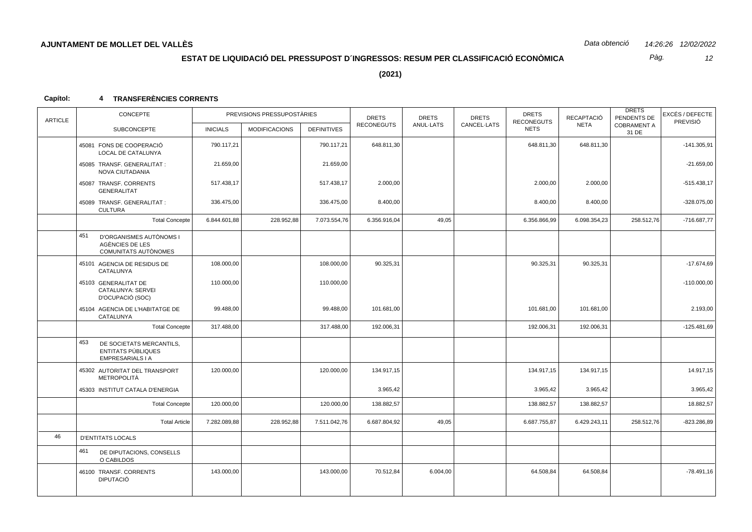Pàg.  $12$ 

 $(2021)$ 

| <b>ARTICLE</b> | CONCEPTE                                                                         |                 | PREVISIONS PRESSUPOSTÀRIES |                    | <b>DRETS</b>      | <b>DRETS</b> | <b>DRETS</b> | <b>DRETS</b><br><b>RECONEGUTS</b> | RECAPTACIÓ   | <b>DRETS</b><br>PENDENTS DE | EXCÉS / DEFECTE<br>PREVISIÓ |
|----------------|----------------------------------------------------------------------------------|-----------------|----------------------------|--------------------|-------------------|--------------|--------------|-----------------------------------|--------------|-----------------------------|-----------------------------|
|                | <b>SUBCONCEPTE</b>                                                               | <b>INICIALS</b> | <b>MODIFICACIONS</b>       | <b>DEFINITIVES</b> | <b>RECONEGUTS</b> | ANUL-LATS    | CANCEL-LATS  | <b>NETS</b>                       | <b>NETA</b>  | <b>COBRAMENT A</b><br>31 DE |                             |
|                | 45081 FONS DE COOPERACIÓ<br><b>LOCAL DE CATALUNYA</b>                            | 790.117,21      |                            | 790.117,21         | 648.811,30        |              |              | 648.811,30                        | 648.811,30   |                             | $-141.305,91$               |
|                | 45085 TRANSF, GENERALITAT:<br><b>NOVA CIUTADANIA</b>                             | 21.659,00       |                            | 21.659,00          |                   |              |              |                                   |              |                             | $-21.659,00$                |
|                | 45087 TRANSF, CORRENTS<br>GENERALITAT                                            | 517.438,17      |                            | 517.438,17         | 2.000,00          |              |              | 2.000,00                          | 2.000,00     |                             | $-515.438,17$               |
|                | 45089 TRANSF. GENERALITAT:<br><b>CULTURA</b>                                     | 336.475,00      |                            | 336.475,00         | 8.400,00          |              |              | 8.400,00                          | 8.400,00     |                             | $-328.075,00$               |
|                | <b>Total Concepte</b>                                                            | 6.844.601,88    | 228.952,88                 | 7.073.554,76       | 6.356.916,04      | 49,05        |              | 6.356.866,99                      | 6.098.354,23 | 258.512,76                  | -716.687,77                 |
|                | 451<br>D'ORGANISMES AUTÒNOMS I<br>AGÈNCIES DE LES<br>COMUNITATS AUTÒNOMES        |                 |                            |                    |                   |              |              |                                   |              |                             |                             |
|                | 45101 AGENCIA DE RESIDUS DE<br>CATALUNYA                                         | 108.000,00      |                            | 108.000,00         | 90.325,31         |              |              | 90.325,31                         | 90.325,31    |                             | $-17.674,69$                |
|                | 45103 GENERALITAT DE<br>CATALUNYA: SERVEI<br>D'OCUPACIÓ (SOC)                    | 110.000,00      |                            | 110.000,00         |                   |              |              |                                   |              |                             | $-110.000,00$               |
|                | 45104 AGENCIA DE L'HABITATGE DE<br>CATALUNYA                                     | 99.488,00       |                            | 99.488,00          | 101.681,00        |              |              | 101.681,00                        | 101.681,00   |                             | 2.193,00                    |
|                | <b>Total Concepte</b>                                                            | 317.488,00      |                            | 317.488,00         | 192.006,31        |              |              | 192.006,31                        | 192.006,31   |                             | $-125.481,69$               |
|                | 453<br>DE SOCIETATS MERCANTILS,<br>ENTITATS PÚBLIQUES<br><b>EMPRESARIALS I A</b> |                 |                            |                    |                   |              |              |                                   |              |                             |                             |
|                | 45302 AUTORITAT DEL TRANSPORT<br>METROPOLITÀ                                     | 120.000,00      |                            | 120.000,00         | 134.917,15        |              |              | 134.917,15                        | 134.917,15   |                             | 14.917,15                   |
|                | 45303 INSTITUT CATALA D'ENERGIA                                                  |                 |                            |                    | 3.965,42          |              |              | 3.965,42                          | 3.965,42     |                             | 3.965,42                    |
|                | <b>Total Concepte</b>                                                            | 120.000,00      |                            | 120.000,00         | 138.882,57        |              |              | 138.882,57                        | 138.882,57   |                             | 18.882,57                   |
|                | <b>Total Article</b>                                                             | 7.282.089,88    | 228.952,88                 | 7.511.042,76       | 6.687.804,92      | 49,05        |              | 6.687.755,87                      | 6.429.243,11 | 258.512,76                  | $-823.286,89$               |
| 46             | <b>D'ENTITATS LOCALS</b>                                                         |                 |                            |                    |                   |              |              |                                   |              |                             |                             |
|                | 461<br>DE DIPUTACIONS, CONSELLS<br>O CABILDOS                                    |                 |                            |                    |                   |              |              |                                   |              |                             |                             |
|                | 46100 TRANSF. CORRENTS<br><b>DIPUTACIÓ</b>                                       | 143.000,00      |                            | 143.000,00         | 70.512,84         | 6.004,00     |              | 64.508,84                         | 64.508,84    |                             | $-78.491,16$                |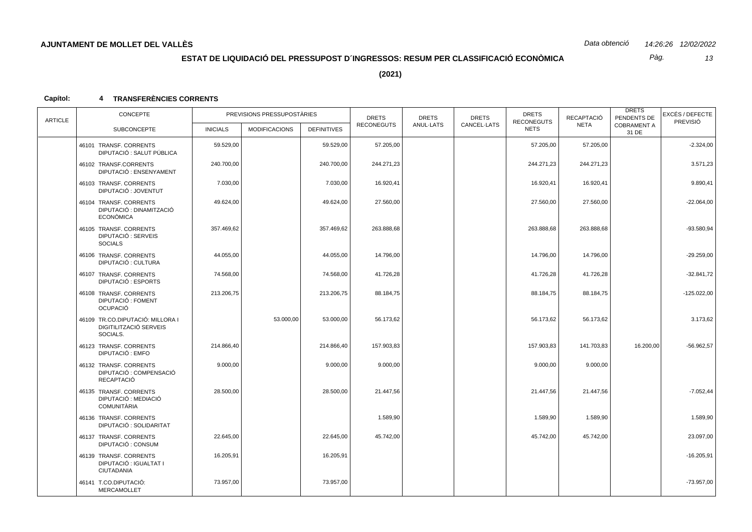*13 Pàg.*

**(2021)**

| <b>ARTICLE</b> | CONCEPTE<br>PREVISIONS PRESSUPOSTÀRIES                                 |                 | <b>DRETS</b>         | <b>DRETS</b>       | <b>DRETS</b>      | <b>DRETS</b><br><b>RECONEGUTS</b> | RECAPTACIÓ  | <b>DRETS</b><br>PENDENTS DE | EXCÉS / DEFECTE |                             |                                                                                                                                                                                                                                             |
|----------------|------------------------------------------------------------------------|-----------------|----------------------|--------------------|-------------------|-----------------------------------|-------------|-----------------------------|-----------------|-----------------------------|---------------------------------------------------------------------------------------------------------------------------------------------------------------------------------------------------------------------------------------------|
|                | <b>SUBCONCEPTE</b>                                                     | <b>INICIALS</b> | <b>MODIFICACIONS</b> | <b>DEFINITIVES</b> | <b>RECONEGUTS</b> | ANUL-LATS                         | CANCEL-LATS | <b>NETS</b>                 | <b>NETA</b>     | <b>COBRAMENT A</b><br>31 DE | <b>PREVISIÓ</b><br>$-2.324,00$<br>3.571,23<br>9.890,41<br>$-22.064,00$<br>$-93.580,94$<br>$-29.259,00$<br>$-32.841,72$<br>$-125.022,00$<br>3.173,62<br>$-56.962,57$<br>$-7.052,44$<br>1.589,90<br>23.097,00<br>$-16.205,91$<br>$-73.957,00$ |
|                | 46101 TRANSF. CORRENTS<br>DIPUTACIÓ : SALUT PÚBLICA                    | 59.529,00       |                      | 59.529,00          | 57.205,00         |                                   |             | 57.205,00                   | 57.205,00       |                             |                                                                                                                                                                                                                                             |
|                | 46102 TRANSF.CORRENTS<br>DIPUTACIÓ : ENSENYAMENT                       | 240.700,00      |                      | 240.700,00         | 244.271,23        |                                   |             | 244.271,23                  | 244.271,23      |                             |                                                                                                                                                                                                                                             |
|                | 46103 TRANSF. CORRENTS<br>DIPUTACIÓ : JOVENTUT                         | 7.030,00        |                      | 7.030,00           | 16.920,41         |                                   |             | 16.920,41                   | 16.920,41       |                             |                                                                                                                                                                                                                                             |
|                | 46104 TRANSF. CORRENTS<br>DIPUTACIÓ : DINAMITZACIÓ<br><b>ECONÒMICA</b> | 49.624,00       |                      | 49.624,00          | 27.560,00         |                                   |             | 27.560,00                   | 27.560,00       |                             |                                                                                                                                                                                                                                             |
|                | 46105 TRANSF. CORRENTS<br>DIPUTACIÓ : SERVEIS<br><b>SOCIALS</b>        | 357.469,62      |                      | 357.469,62         | 263.888,68        |                                   |             | 263.888,68                  | 263.888,68      |                             |                                                                                                                                                                                                                                             |
|                | 46106 TRANSF. CORRENTS<br>DIPUTACIÓ : CULTURA                          | 44.055,00       |                      | 44.055,00          | 14.796,00         |                                   |             | 14.796,00                   | 14.796,00       |                             |                                                                                                                                                                                                                                             |
|                | 46107 TRANSF. CORRENTS<br>DIPUTACIÓ : ESPORTS                          | 74.568,00       |                      | 74.568,00          | 41.726,28         |                                   |             | 41.726,28                   | 41.726,28       |                             |                                                                                                                                                                                                                                             |
|                | 46108 TRANSF, CORRENTS<br>DIPUTACIÓ : FOMENT<br><b>OCUPACIÓ</b>        | 213.206,75      |                      | 213.206,75         | 88.184,75         |                                   |             | 88.184,75                   | 88.184,75       |                             |                                                                                                                                                                                                                                             |
|                | 46109 TR.CO.DIPUTACIÓ: MILLORA I<br>DIGITILITZACIÓ SERVEIS<br>SOCIALS. |                 | 53.000,00            | 53.000,00          | 56.173,62         |                                   |             | 56.173,62                   | 56.173,62       |                             |                                                                                                                                                                                                                                             |
|                | 46123 TRANSF. CORRENTS<br>DIPUTACIÓ : EMFO                             | 214.866,40      |                      | 214.866,40         | 157.903,83        |                                   |             | 157.903,83                  | 141.703,83      | 16.200,00                   |                                                                                                                                                                                                                                             |
|                | 46132 TRANSF, CORRENTS<br>DIPUTACIÓ : COMPENSACIÓ<br>RECAPTACIÓ        | 9.000,00        |                      | 9.000,00           | 9.000,00          |                                   |             | 9.000,00                    | 9.000,00        |                             |                                                                                                                                                                                                                                             |
|                | 46135 TRANSF, CORRENTS<br>DIPUTACIÓ : MEDIACIÓ<br>COMUNITÀRIA          | 28.500,00       |                      | 28.500,00          | 21.447,56         |                                   |             | 21.447,56                   | 21.447,56       |                             |                                                                                                                                                                                                                                             |
|                | 46136 TRANSF. CORRENTS<br>DIPUTACIÓ : SOLIDARITAT                      |                 |                      |                    | 1.589,90          |                                   |             | 1.589,90                    | 1.589,90        |                             |                                                                                                                                                                                                                                             |
|                | 46137 TRANSF, CORRENTS<br>DIPUTACIÓ : CONSUM                           | 22.645,00       |                      | 22.645,00          | 45.742,00         |                                   |             | 45.742,00                   | 45.742,00       |                             |                                                                                                                                                                                                                                             |
|                | 46139 TRANSF. CORRENTS<br>DIPUTACIÓ : IGUALTAT I<br>CIUTADANIA         | 16.205,91       |                      | 16.205,91          |                   |                                   |             |                             |                 |                             |                                                                                                                                                                                                                                             |
|                | 46141 T.CO.DIPUTACIÓ:<br>MERCAMOLLET                                   | 73.957,00       |                      | 73.957,00          |                   |                                   |             |                             |                 |                             |                                                                                                                                                                                                                                             |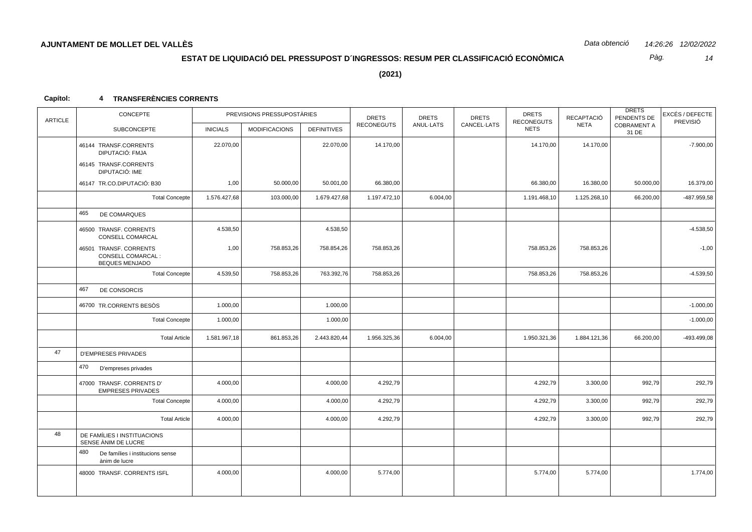*14 Pàg.*

**(2021)**

| <b>ARTICLE</b>                | CONCEPTE                                                       |                 | PREVISIONS PRESSUPOSTÀRIES |                    | <b>DRETS</b>      | <b>DRETS</b> | <b>DRETS</b> | <b>DRETS</b><br><b>RECONEGUTS</b> | RECAPTACIÓ   | <b>DRETS</b><br>PENDENTS DE | EXCÉS / DEFECTE<br>PREVISIÓ |
|-------------------------------|----------------------------------------------------------------|-----------------|----------------------------|--------------------|-------------------|--------------|--------------|-----------------------------------|--------------|-----------------------------|-----------------------------|
| 465<br>467<br>47<br>470<br>48 | <b>SUBCONCEPTE</b>                                             | <b>INICIALS</b> | <b>MODIFICACIONS</b>       | <b>DEFINITIVES</b> | <b>RECONEGUTS</b> | ANUL-LATS    | CANCEL·LATS  | <b>NETS</b>                       | <b>NETA</b>  | <b>COBRAMENT A</b><br>31 DE |                             |
|                               | 46144 TRANSF.CORRENTS<br>DIPUTACIÓ: FMJA                       | 22.070,00       |                            | 22.070,00          | 14.170,00         |              |              | 14.170,00                         | 14.170,00    |                             | $-7.900,00$                 |
|                               | 46145 TRANSF.CORRENTS<br>DIPUTACIÓ: IME                        |                 |                            |                    |                   |              |              |                                   |              |                             |                             |
|                               | 46147 TR.CO.DIPUTACIÓ: B30                                     | 1,00            | 50.000,00                  | 50.001,00          | 66.380,00         |              |              | 66.380,00                         | 16.380,00    | 50.000,00                   | 16.379,00                   |
|                               | <b>Total Concepte</b>                                          | 1.576.427,68    | 103.000,00                 | 1.679.427,68       | 1.197.472,10      | 6.004,00     |              | 1.191.468,10                      | 1.125.268,10 | 66.200,00                   | -487.959,58                 |
|                               | DE COMARQUES                                                   |                 |                            |                    |                   |              |              |                                   |              |                             |                             |
|                               | 46500 TRANSF. CORRENTS<br>CONSELL COMARCAL                     | 4.538,50        |                            | 4.538,50           |                   |              |              |                                   |              |                             | $-4.538,50$                 |
|                               | 46501 TRANSF. CORRENTS<br>CONSELL COMARCAL :<br>BEQUES MENJADO | 1,00            | 758.853,26                 | 758.854,26         | 758.853,26        |              |              | 758.853,26                        | 758.853,26   |                             | $-1,00$                     |
|                               | <b>Total Concepte</b>                                          | 4.539,50        | 758.853,26                 | 763.392,76         | 758.853,26        |              |              | 758.853,26                        | 758.853,26   |                             | $-4.539,50$                 |
|                               | DE CONSORCIS                                                   |                 |                            |                    |                   |              |              |                                   |              |                             |                             |
|                               | 46700 TR.CORRENTS BESOS                                        | 1.000,00        |                            | 1.000,00           |                   |              |              |                                   |              |                             | $-1.000,00$                 |
|                               | <b>Total Concepte</b>                                          | 1.000,00        |                            | 1.000,00           |                   |              |              |                                   |              |                             | $-1.000,00$                 |
|                               | <b>Total Article</b>                                           | 1.581.967,18    | 861.853,26                 | 2.443.820,44       | 1.956.325,36      | 6.004,00     |              | 1.950.321,36                      | 1.884.121,36 | 66.200,00                   | -493.499,08                 |
|                               | <b>D'EMPRESES PRIVADES</b>                                     |                 |                            |                    |                   |              |              |                                   |              |                             |                             |
|                               | D'empreses privades                                            |                 |                            |                    |                   |              |              |                                   |              |                             |                             |
|                               | 47000 TRANSF. CORRENTS D'<br><b>EMPRESES PRIVADES</b>          | 4.000,00        |                            | 4.000,00           | 4.292,79          |              |              | 4.292,79                          | 3.300,00     | 992,79                      | 292,79                      |
|                               | <b>Total Concepte</b>                                          | 4.000,00        |                            | 4.000,00           | 4.292,79          |              |              | 4.292,79                          | 3.300,00     | 992,79                      | 292,79                      |
|                               | <b>Total Article</b>                                           | 4.000,00        |                            | 4.000,00           | 4.292,79          |              |              | 4.292,79                          | 3.300,00     | 992,79                      | 292,79                      |
|                               | DE FAMÍLIES I INSTITUACIONS<br>SENSE ANIM DE LUCRE             |                 |                            |                    |                   |              |              |                                   |              |                             |                             |
|                               | 480<br>De famílies i institucions sense<br>ànim de lucre       |                 |                            |                    |                   |              |              |                                   |              |                             |                             |
|                               | 48000 TRANSF. CORRENTS ISFL                                    | 4.000,00        |                            | 4.000,00           | 5.774,00          |              |              | 5.774,00                          | 5.774,00     |                             | 1.774,00                    |
|                               |                                                                |                 |                            |                    |                   |              |              |                                   |              |                             |                             |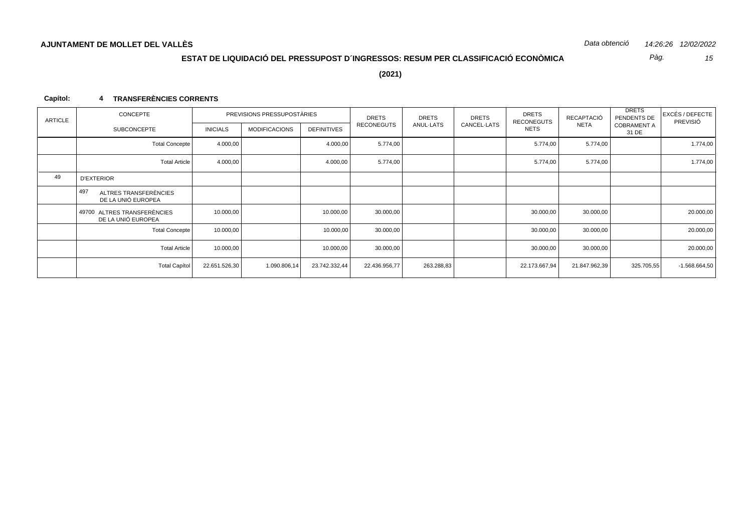*15 Pàg.*

**(2021)**

| ARTICLE | CONCEPTE                                            |                 | PREVISIONS PRESSUPOSTÀRIES | <b>DRETS</b><br><b>DRETS</b><br>PENDENTS DE<br><b>DRETS</b><br><b>DRETS</b><br>RECAPTACIÓ<br><b>DRETS</b><br>RECONEGUTS |                   |            |             | EXCÉS / DEFECTE<br>PREVISIÓ |               |                             |                 |
|---------|-----------------------------------------------------|-----------------|----------------------------|-------------------------------------------------------------------------------------------------------------------------|-------------------|------------|-------------|-----------------------------|---------------|-----------------------------|-----------------|
|         | <b>SUBCONCEPTE</b>                                  | <b>INICIALS</b> | <b>MODIFICACIONS</b>       | <b>DEFINITIVES</b>                                                                                                      | <b>RECONEGUTS</b> | ANUL-LATS  | CANCEL-LATS | <b>NETS</b>                 | <b>NETA</b>   | <b>COBRAMENT A</b><br>31 DE |                 |
|         | <b>Total Concepte</b>                               | 4.000,00        |                            | 4.000,00                                                                                                                | 5.774,00          |            |             | 5.774,00                    | 5.774,00      |                             | 1.774,00        |
|         | <b>Total Article</b>                                | 4.000,00        |                            | 4.000,00                                                                                                                | 5.774,00          |            |             | 5.774,00                    | 5.774,00      |                             | 1.774,00        |
| 49      | <b>D'EXTERIOR</b>                                   |                 |                            |                                                                                                                         |                   |            |             |                             |               |                             |                 |
|         | 1497<br>ALTRES TRANSFERÈNCIES<br>DE LA UNIÓ EUROPEA |                 |                            |                                                                                                                         |                   |            |             |                             |               |                             |                 |
|         | 49700 ALTRES TRANSFERÈNCIES<br>DE LA UNIÓ EUROPEA   | 10.000,00       |                            | 10.000,00                                                                                                               | 30.000,00         |            |             | 30.000,00                   | 30.000,00     |                             | 20.000,00       |
|         | <b>Total Concepte</b>                               | 10.000,00       |                            | 10.000,00                                                                                                               | 30.000,00         |            |             | 30.000,00                   | 30.000,00     |                             | 20.000,00       |
|         | <b>Total Article</b>                                | 10.000,00       |                            | 10.000,00                                                                                                               | 30.000,00         |            |             | 30.000,00                   | 30.000,00     |                             | 20.000,00       |
|         | <b>Total Capítol</b>                                | 22.651.526,30   | 1.090.806,14               | 23.742.332,44                                                                                                           | 22.436.956,77     | 263.288,83 |             | 22.173.667,94               | 21.847.962,39 | 325.705,55                  | $-1.568.664,50$ |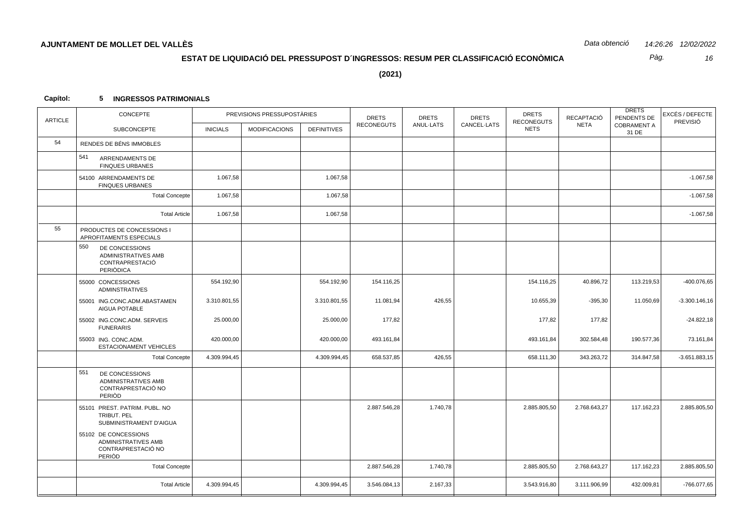Pàg. 16

 $(2021)$ 

#### Capítol: 5 INGRESSOS PATRIMONIALS

| <b>ARTICLE</b> | CONCEPTE                                                                            |                 | PREVISIONS PRESSUPOSTÀRIES |                    | <b>DRETS</b>      | <b>DRETS</b> | <b>DRETS</b> | <b>DRETS</b><br><b>RECONEGUTS</b> | <b>RECAPTACIÓ</b> | <b>DRETS</b><br>PENDENTS DE | EXCÉS / DEFECTE<br>PREVISIÓ |
|----------------|-------------------------------------------------------------------------------------|-----------------|----------------------------|--------------------|-------------------|--------------|--------------|-----------------------------------|-------------------|-----------------------------|-----------------------------|
|                | <b>SUBCONCEPTE</b>                                                                  | <b>INICIALS</b> | <b>MODIFICACIONS</b>       | <b>DEFINITIVES</b> | <b>RECONEGUTS</b> | ANUL-LATS    | CANCEL-LATS  | <b>NETS</b>                       | <b>NETA</b>       | <b>COBRAMENT A</b><br>31 DE |                             |
| 54             | RENDES DE BÉNS IMMOBLES                                                             |                 |                            |                    |                   |              |              |                                   |                   |                             |                             |
|                | 541<br>ARRENDAMENTS DE<br><b>FINQUES URBANES</b>                                    |                 |                            |                    |                   |              |              |                                   |                   |                             |                             |
|                | 54100 ARRENDAMENTS DE<br><b>FINQUES URBANES</b>                                     | 1.067,58        |                            | 1.067,58           |                   |              |              |                                   |                   |                             | $-1.067,58$                 |
|                | <b>Total Concepte</b>                                                               | 1.067,58        |                            | 1.067,58           |                   |              |              |                                   |                   |                             | $-1.067,58$                 |
|                | <b>Total Article</b>                                                                | 1.067,58        |                            | 1.067,58           |                   |              |              |                                   |                   |                             | $-1.067,58$                 |
| 55             | PRODUCTES DE CONCESSIONS I<br>APROFITAMENTS ESPECIALS                               |                 |                            |                    |                   |              |              |                                   |                   |                             |                             |
|                | 550<br>DE CONCESSIONS<br>ADMINISTRATIVES AMB<br><b>CONTRAPRESTACIÓ</b><br>PERIODICA |                 |                            |                    |                   |              |              |                                   |                   |                             |                             |
|                | 55000 CONCESSIONS<br><b>ADMINSTRATIVES</b>                                          | 554.192,90      |                            | 554.192,90         | 154.116,25        |              |              | 154.116,25                        | 40.896,72         | 113.219,53                  | -400.076,65                 |
|                | 55001 ING.CONC.ADM.ABASTAMEN<br>AIGUA POTABLE                                       | 3.310.801,55    |                            | 3.310.801,55       | 11.081,94         | 426,55       |              | 10.655,39                         | $-395,30$         | 11.050,69                   | $-3.300.146,16$             |
|                | 55002 ING.CONC.ADM. SERVEIS<br><b>FUNERARIS</b>                                     | 25.000,00       |                            | 25.000,00          | 177,82            |              |              | 177,82                            | 177,82            |                             | $-24.822,18$                |
|                | 55003 ING. CONC.ADM.<br><b>ESTACIONAMENT VEHICLES</b>                               | 420.000,00      |                            | 420.000,00         | 493.161,84        |              |              | 493.161,84                        | 302.584,48        | 190.577,36                  | 73.161,84                   |
|                | <b>Total Concepte</b>                                                               | 4.309.994,45    |                            | 4.309.994,45       | 658.537,85        | 426,55       |              | 658.111,30                        | 343.263,72        | 314.847,58                  | $-3.651.883,15$             |
|                | 551<br>DE CONCESSIONS<br><b>ADMINISTRATIVES AMB</b><br>CONTRAPRESTACIÓ NO<br>PERIOD |                 |                            |                    |                   |              |              |                                   |                   |                             |                             |
|                | 55101 PREST. PATRIM. PUBL. NO<br><b>TRIBUT, PEL</b><br>SUBMINISTRAMENT D'AIGUA      |                 |                            |                    | 2.887.546,28      | 1.740,78     |              | 2.885.805,50                      | 2.768.643,27      | 117.162,23                  | 2.885.805,50                |
|                | 55102 DE CONCESSIONS<br>ADMINISTRATIVES AMB<br>CONTRAPRESTACIÓ NO<br>PERIOD         |                 |                            |                    |                   |              |              |                                   |                   |                             |                             |
|                | <b>Total Concepte</b>                                                               |                 |                            |                    | 2.887.546,28      | 1.740,78     |              | 2.885.805,50                      | 2.768.643,27      | 117.162,23                  | 2.885.805,50                |
|                | <b>Total Article</b>                                                                | 4.309.994,45    |                            | 4.309.994,45       | 3.546.084,13      | 2.167,33     |              | 3.543.916,80                      | 3.111.906,99      | 432.009,81                  | -766.077,65                 |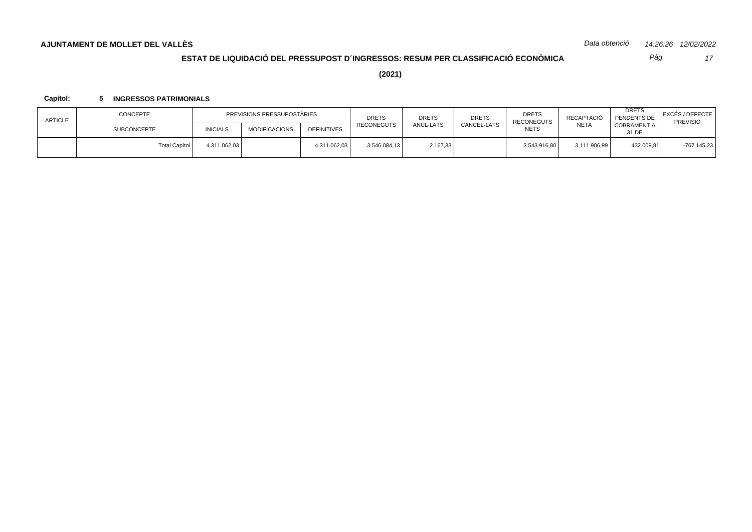*Data obtenció 14:26:26 12/02/2022*

# **ESTAT DE LIQUIDACIÓ DEL PRESSUPOST D´INGRESSOS: RESUM PER CLASSIFICACIÓ ECONÒMICA**

*17 Pàg.*

**(2021)**

### **Capítol: 5 INGRESSOS PATRIMONIALS**

| <b>ARTICLE</b> | <b>CONCEPTE</b>      | PREVISIONS PRESSUPOSTÀRIES |                      |                    | <b>DRETS</b> | <b>DRETS</b> | <b>DRETS</b> | <b>DRETS</b><br>RECAPTACIÓ<br><b>RECONEGUTS</b> |              | <b>DRETS</b><br>PENDENTS DE | EXCÉS / DEFECTE <br>PREVISIÓ |
|----------------|----------------------|----------------------------|----------------------|--------------------|--------------|--------------|--------------|-------------------------------------------------|--------------|-----------------------------|------------------------------|
|                | <b>SUBCONCEPTE</b>   | <b>INICIALS</b>            | <b>MODIFICACIONS</b> | <b>DEFINITIVES</b> | RECONEGUTS   | ANUL-LATS    | CANCEL-LATS  | <b>NETS</b>                                     | <b>NETA</b>  | COBRAMENT A<br>31 DE        |                              |
|                | <b>Total Capítol</b> | 4.311.062,03               |                      | 4.311.062,03       | 3.546.084,13 | 2.167,33     |              | 3.543.916,80                                    | 3.111.906,99 | 432.009,81                  | $-767.145.23$                |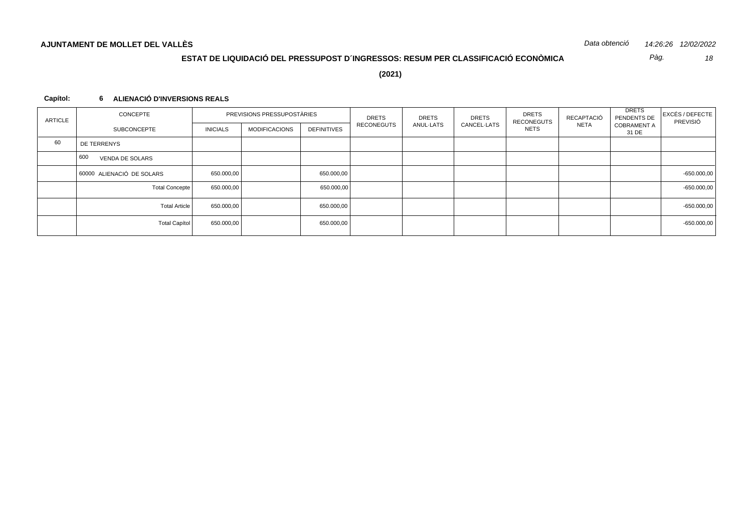*18 Pàg.*

**(2021)**

### **Capítol: 6 ALIENACIÓ D'INVERSIONS REALS**

| ARTICLE | CONCEPTE                      |                 | PREVISIONS PRESSUPOSTÀRIES |                    | <b>DRETS</b> | <b>DRETS</b> | <b>DRETS</b> | <b>DRETS</b><br>RECAPTACIÓ<br>RECONEGUTS |             |                             |  | <b>DRETS</b><br>PENDENTS DE | EXCÉS / DEFECTE<br>PREVISIÓ<br>$-650.000,00$<br>$-650.000,00$<br>$-650.000,00$<br>$-650.000,00$ |
|---------|-------------------------------|-----------------|----------------------------|--------------------|--------------|--------------|--------------|------------------------------------------|-------------|-----------------------------|--|-----------------------------|-------------------------------------------------------------------------------------------------|
|         | SUBCONCEPTE                   | <b>INICIALS</b> | <b>MODIFICACIONS</b>       | <b>DEFINITIVES</b> | RECONEGUTS   | ANUL-LATS    | CANCEL-LATS  | <b>NETS</b>                              | <b>NETA</b> | <b>COBRAMENT A</b><br>31 DE |  |                             |                                                                                                 |
| 60      | DE TERRENYS                   |                 |                            |                    |              |              |              |                                          |             |                             |  |                             |                                                                                                 |
|         | 600<br><b>VENDA DE SOLARS</b> |                 |                            |                    |              |              |              |                                          |             |                             |  |                             |                                                                                                 |
|         | 60000 ALIENACIÓ DE SOLARS     | 650.000,00      |                            | 650.000,00         |              |              |              |                                          |             |                             |  |                             |                                                                                                 |
|         | <b>Total Concepte</b>         | 650.000,00      |                            | 650.000,00         |              |              |              |                                          |             |                             |  |                             |                                                                                                 |
|         | <b>Total Article</b>          | 650.000,00      |                            | 650.000,00         |              |              |              |                                          |             |                             |  |                             |                                                                                                 |
|         | Total Capítol                 | 650.000,00      |                            | 650.000,00         |              |              |              |                                          |             |                             |  |                             |                                                                                                 |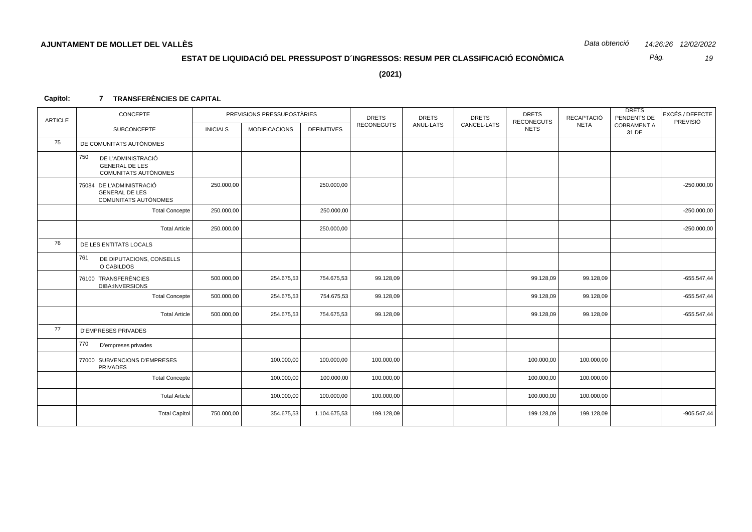Pàg. 19

 $(2021)$ 

#### Capítol: 7 TRANSFERÈNCIES DE CAPITAL

| <b>ARTICLE</b> | CONCEPTE                                                                          |                 | PREVISIONS PRESSUPOSTÀRIES |                    | <b>DRETS</b>      | <b>DRETS</b> | <b>DRETS</b> | <b>DRETS</b><br><b>RECONEGUTS</b> | <b>RECAPTACIÓ</b> | <b>DRETS</b><br>PENDENTS DE | <b>EXCÉS / DEFECTE</b><br>PREVISIÓ |
|----------------|-----------------------------------------------------------------------------------|-----------------|----------------------------|--------------------|-------------------|--------------|--------------|-----------------------------------|-------------------|-----------------------------|------------------------------------|
|                | <b>SUBCONCEPTE</b>                                                                | <b>INICIALS</b> | <b>MODIFICACIONS</b>       | <b>DEFINITIVES</b> | <b>RECONEGUTS</b> | ANUL-LATS    | CANCEL-LATS  | <b>NETS</b>                       | <b>NETA</b>       | <b>COBRAMENT A</b><br>31 DE |                                    |
| 75             | DE COMUNITATS AUTÒNOMES                                                           |                 |                            |                    |                   |              |              |                                   |                   |                             |                                    |
|                | 750<br>DE L'ADMINISTRACIÓ<br><b>GENERAL DE LES</b><br><b>COMUNITATS AUTÒNOMES</b> |                 |                            |                    |                   |              |              |                                   |                   |                             |                                    |
|                | 75084 DE L'ADMINISTRACIÓ<br><b>GENERAL DE LES</b><br>COMUNITATS AUTÒNOMES         | 250.000,00      |                            | 250.000,00         |                   |              |              |                                   |                   |                             | $-250.000,00$                      |
|                | <b>Total Concepte</b>                                                             | 250.000,00      |                            | 250.000,00         |                   |              |              |                                   |                   |                             | $-250.000,00$                      |
|                | <b>Total Article</b>                                                              | 250.000,00      |                            | 250.000,00         |                   |              |              |                                   |                   |                             | $-250.000,00$                      |
| 76             | DE LES ENTITATS LOCALS                                                            |                 |                            |                    |                   |              |              |                                   |                   |                             |                                    |
|                | 761<br>DE DIPUTACIONS, CONSELLS<br>O CABILDOS                                     |                 |                            |                    |                   |              |              |                                   |                   |                             |                                    |
|                | 76100 TRANSFERÈNCIES<br><b>DIBA:INVERSIONS</b>                                    | 500.000,00      | 254.675,53                 | 754.675,53         | 99.128,09         |              |              | 99.128,09                         | 99.128,09         |                             | $-655.547,44$                      |
|                | <b>Total Concepte</b>                                                             | 500.000,00      | 254.675,53                 | 754.675,53         | 99.128,09         |              |              | 99.128,09                         | 99.128,09         |                             | $-655.547,44$                      |
|                | <b>Total Article</b>                                                              | 500.000,00      | 254.675,53                 | 754.675,53         | 99.128,09         |              |              | 99.128,09                         | 99.128,09         |                             | $-655.547,44$                      |
| 77             | <b>D'EMPRESES PRIVADES</b>                                                        |                 |                            |                    |                   |              |              |                                   |                   |                             |                                    |
|                | 770<br>D'empreses privades                                                        |                 |                            |                    |                   |              |              |                                   |                   |                             |                                    |
|                | 77000 SUBVENCIONS D'EMPRESES<br><b>PRIVADES</b>                                   |                 | 100.000,00                 | 100.000,00         | 100.000,00        |              |              | 100.000,00                        | 100.000,00        |                             |                                    |
|                | <b>Total Concepte</b>                                                             |                 | 100.000,00                 | 100.000,00         | 100.000,00        |              |              | 100.000,00                        | 100.000,00        |                             |                                    |
|                | <b>Total Article</b>                                                              |                 | 100.000,00                 | 100.000,00         | 100.000,00        |              |              | 100.000,00                        | 100.000,00        |                             |                                    |
|                | <b>Total Capítol</b>                                                              | 750.000,00      | 354.675,53                 | 1.104.675,53       | 199.128,09        |              |              | 199.128,09                        | 199.128,09        |                             | $-905.547,44$                      |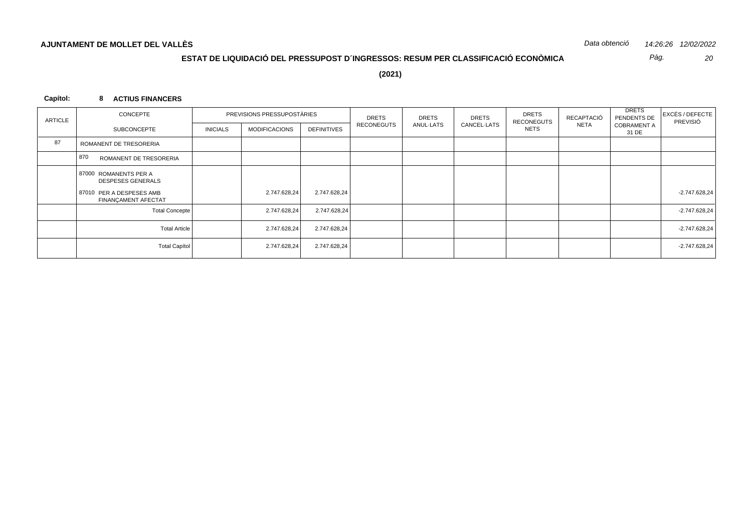*20 Pàg.*

**(2021)**

### **Capítol: 8 ACTIUS FINANCERS**

| <b>ARTICLE</b> | CONCEPTE                                          |                 | PREVISIONS PRESSUPOSTÀRIES |                    | <b>DRETS</b> | <b>DRETS</b> | <b>DRETS</b> | <b>DRETS</b><br><b>RECONEGUTS</b> | RECAPTACIÓ  | <b>DRETS</b><br>PENDENTS DE<br>PREVISIÓ | EXCÉS / DEFECTE |
|----------------|---------------------------------------------------|-----------------|----------------------------|--------------------|--------------|--------------|--------------|-----------------------------------|-------------|-----------------------------------------|-----------------|
|                | SUBCONCEPTE                                       | <b>INICIALS</b> | MODIFICACIONS              | <b>DEFINITIVES</b> | RECONEGUTS   | ANUL-LATS    | CANCEL-LATS  | <b>NETS</b>                       | <b>NETA</b> | <b>COBRAMENT A</b><br>31 DE             |                 |
| 87             | ROMANENT DE TRESORERIA                            |                 |                            |                    |              |              |              |                                   |             |                                         |                 |
|                | 870<br>ROMANENT DE TRESORERIA                     |                 |                            |                    |              |              |              |                                   |             |                                         |                 |
|                | 87000 ROMANENTS PER A<br><b>DESPESES GENERALS</b> |                 |                            |                    |              |              |              |                                   |             |                                         |                 |
|                | 87010 PER A DESPESES AMB<br>FINANÇAMENT AFECTAT   |                 | 2.747.628,24               | 2.747.628,24       |              |              |              |                                   |             |                                         | $-2.747.628.24$ |
|                | <b>Total Concepte</b>                             |                 | 2.747.628,24               | 2.747.628,24       |              |              |              |                                   |             |                                         | $-2.747.628.24$ |
|                | <b>Total Article</b>                              |                 | 2.747.628,24               | 2.747.628,24       |              |              |              |                                   |             |                                         | $-2.747.628,24$ |
|                | Total Capítol                                     |                 | 2.747.628,24               | 2.747.628,24       |              |              |              |                                   |             |                                         | $-2.747.628,24$ |
|                |                                                   |                 |                            |                    |              |              |              |                                   |             |                                         |                 |